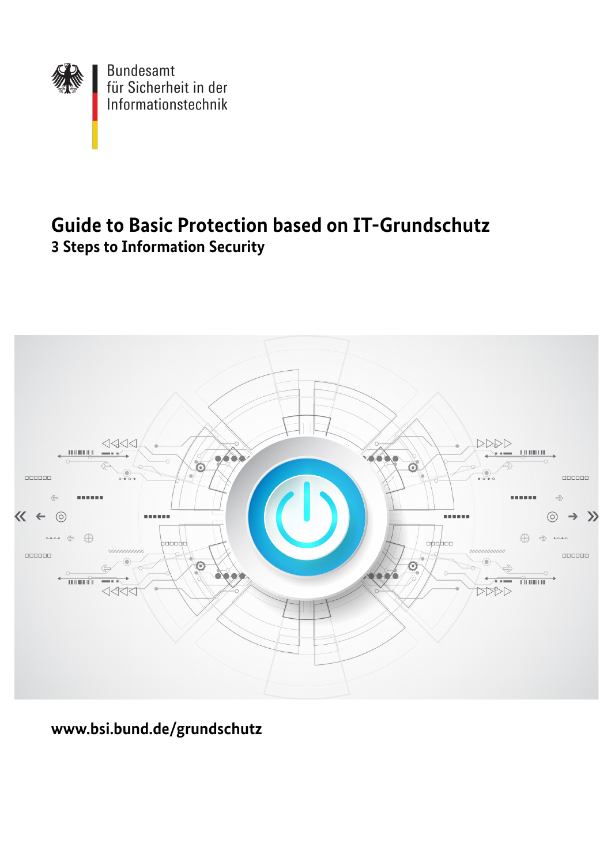

# **Guide to Basic Protection based on IT-Grundschutz 3 Steps to Information Security**



**www.bsi.bund.de/grundschutz**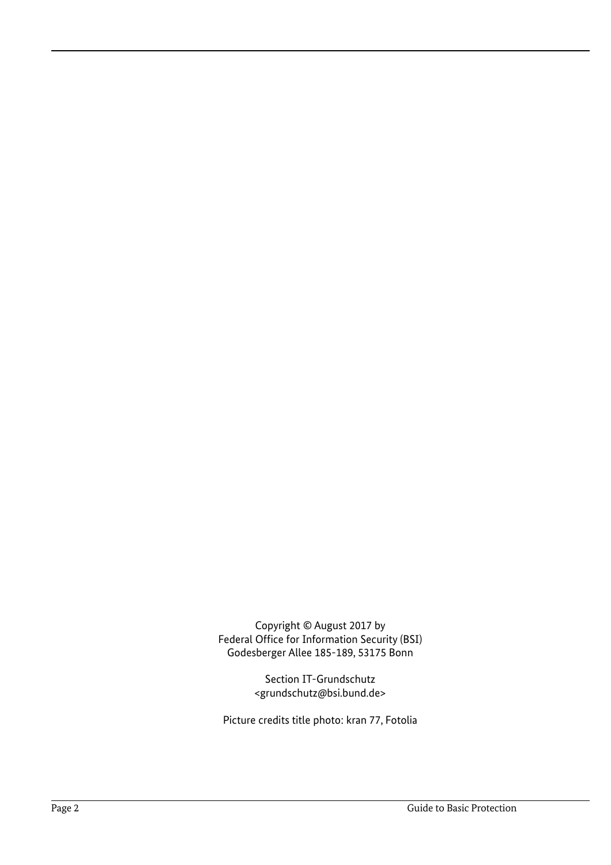Copyright © August 2017 by Federal Office for Information Security (BSI) Godesberger Allee 185-189, 53175 Bonn

> Section IT-Grundschutz <grundschutz@bsi.bund.de>

Picture credits title photo: kran 77, Fotolia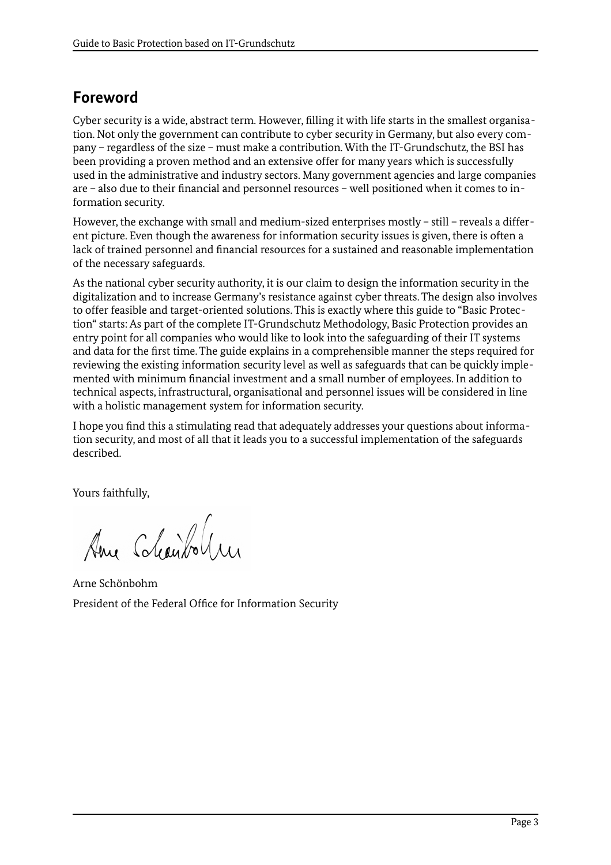# <span id="page-2-0"></span>**Foreword**

Cyber security is a wide, abstract term. However, filling it with life starts in the smallest organisation. Not only the government can contribute to cyber security in Germany, but also every company – regardless of the size – must make a contribution. With the IT-Grundschutz, the BSI has been providing a proven method and an extensive offer for many years which is successfully used in the administrative and industry sectors. Many government agencies and large companies are – also due to their financial and personnel resources – well positioned when it comes to information security.

However, the exchange with small and medium-sized enterprises mostly – still – reveals a different picture. Even though the awareness for information security issues is given, there is often a lack of trained personnel and financial resources for a sustained and reasonable implementation of the necessary safeguards.

As the national cyber security authority, it is our claim to design the information security in the digitalization and to increase Germany's resistance against cyber threats. The design also involves to offer feasible and target-oriented solutions. This is exactly where this guide to "Basic Protection" starts: As part of the complete IT-Grundschutz Methodology, Basic Protection provides an entry point for all companies who would like to look into the safeguarding of their IT systems and data for the first time. The guide explains in a comprehensible manner the steps required for reviewing the existing information security level as well as safeguards that can be quickly implemented with minimum financial investment and a small number of employees. In addition to technical aspects, infrastructural, organisational and personnel issues will be considered in line with a holistic management system for information security.

I hope you find this a stimulating read that adequately addresses your questions about information security, and most of all that it leads you to a successful implementation of the safeguards described.

Yours faithfully,

Ame Chanbolin

Arne Schönbohm President of the Federal Office for Information Security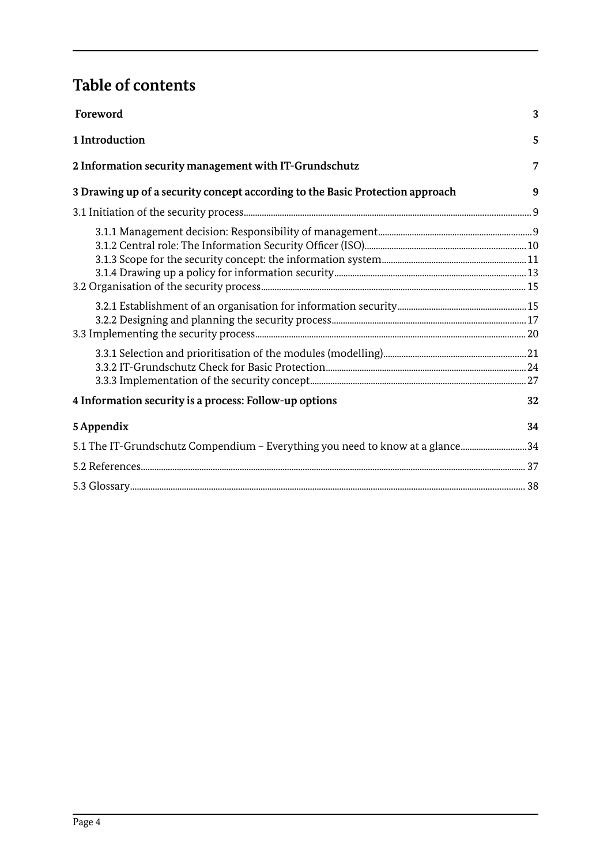# **Table of contents**

| Foreword                                                                      | 3  |
|-------------------------------------------------------------------------------|----|
| 1 Introduction                                                                | 5  |
| 2 Information security management with IT-Grundschutz                         | 7  |
| 3 Drawing up of a security concept according to the Basic Protection approach | 9  |
|                                                                               |    |
|                                                                               |    |
|                                                                               |    |
|                                                                               |    |
| 4 Information security is a process: Follow-up options                        | 32 |
| 5 Appendix                                                                    | 34 |
| 5.1 The IT-Grundschutz Compendium - Everything you need to know at a glance34 |    |
|                                                                               |    |
|                                                                               |    |
|                                                                               |    |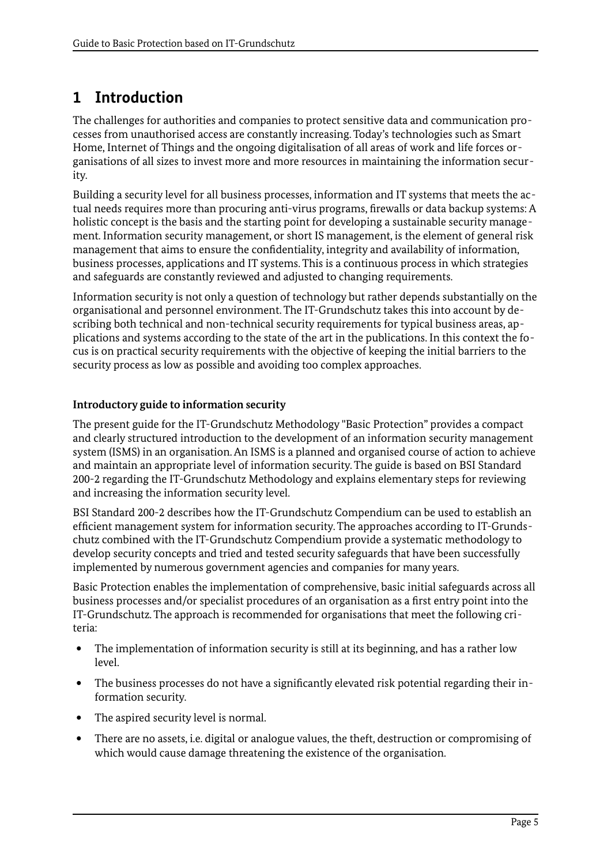# <span id="page-4-0"></span>**1 Introduction**

The challenges for authorities and companies to protect sensitive data and communication processes from unauthorised access are constantly increasing. Today's technologies such as Smart Home, Internet of Things and the ongoing digitalisation of all areas of work and life forces organisations of all sizes to invest more and more resources in maintaining the information security.

Building a security level for all business processes, information and IT systems that meets the actual needs requires more than procuring anti-virus programs, firewalls or data backup systems: A holistic concept is the basis and the starting point for developing a sustainable security management. Information security management, or short IS management, is the element of general risk management that aims to ensure the confidentiality, integrity and availability of information, business processes, applications and IT systems. This is a continuous process in which strategies and safeguards are constantly reviewed and adjusted to changing requirements.

Information security is not only a question of technology but rather depends substantially on the organisational and personnel environment. The IT-Grundschutz takes this into account by describing both technical and non-technical security requirements for typical business areas, applications and systems according to the state of the art in the publications. In this context the focus is on practical security requirements with the objective of keeping the initial barriers to the security process as low as possible and avoiding too complex approaches.

# **Introductory guide to information security**

The present guide for the IT-Grundschutz Methodology "Basic Protection" provides a compact and clearly structured introduction to the development of an information security management system (ISMS) in an organisation. An ISMS is a planned and organised course of action to achieve and maintain an appropriate level of information security. The guide is based on BSI Standard 200-2 regarding the IT-Grundschutz Methodology and explains elementary steps for reviewing and increasing the information security level.

BSI Standard 200-2 describes how the IT-Grundschutz Compendium can be used to establish an efficient management system for information security. The approaches according to IT-Grundschutz combined with the IT-Grundschutz Compendium provide a systematic methodology to develop security concepts and tried and tested security safeguards that have been successfully implemented by numerous government agencies and companies for many years.

Basic Protection enables the implementation of comprehensive, basic initial safeguards across all business processes and/or specialist procedures of an organisation as a first entry point into the IT-Grundschutz. The approach is recommended for organisations that meet the following criteria:

- The implementation of information security is still at its beginning, and has a rather low level.
- The business processes do not have a significantly elevated risk potential regarding their information security.
- The aspired security level is normal.
- There are no assets, i.e. digital or analogue values, the theft, destruction or compromising of which would cause damage threatening the existence of the organisation.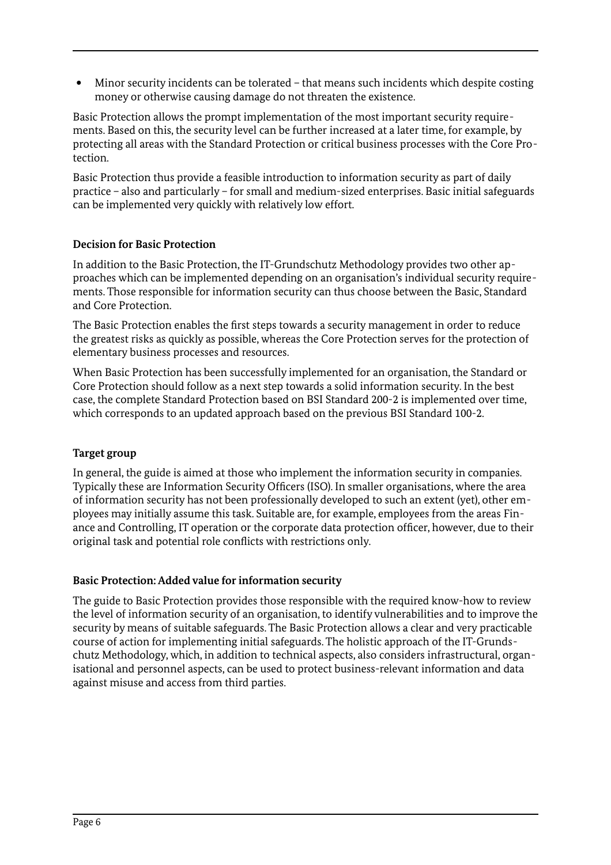Minor security incidents can be tolerated – that means such incidents which despite costing money or otherwise causing damage do not threaten the existence.

Basic Protection allows the prompt implementation of the most important security requirements. Based on this, the security level can be further increased at a later time, for example, by protecting all areas with the Standard Protection or critical business processes with the Core Protection.

Basic Protection thus provide a feasible introduction to information security as part of daily practice – also and particularly – for small and medium-sized enterprises. Basic initial safeguards can be implemented very quickly with relatively low effort.

# **Decision for Basic Protection**

In addition to the Basic Protection, the IT-Grundschutz Methodology provides two other approaches which can be implemented depending on an organisation's individual security requirements. Those responsible for information security can thus choose between the Basic, Standard and Core Protection.

The Basic Protection enables the first steps towards a security management in order to reduce the greatest risks as quickly as possible, whereas the Core Protection serves for the protection of elementary business processes and resources.

When Basic Protection has been successfully implemented for an organisation, the Standard or Core Protection should follow as a next step towards a solid information security. In the best case, the complete Standard Protection based on BSI Standard 200-2 is implemented over time, which corresponds to an updated approach based on the previous BSI Standard 100-2.

#### **Target group**

In general, the guide is aimed at those who implement the information security in companies. Typically these are Information Security Officers (ISO). In smaller organisations, where the area of information security has not been professionally developed to such an extent (yet), other employees may initially assume this task. Suitable are, for example, employees from the areas Finance and Controlling, IT operation or the corporate data protection officer, however, due to their original task and potential role conflicts with restrictions only.

#### **Basic Protection: Added value for information security**

The guide to Basic Protection provides those responsible with the required know-how to review the level of information security of an organisation, to identify vulnerabilities and to improve the security by means of suitable safeguards. The Basic Protection allows a clear and very practicable course of action for implementing initial safeguards. The holistic approach of the IT-Grundschutz Methodology, which, in addition to technical aspects, also considers infrastructural, organisational and personnel aspects, can be used to protect business-relevant information and data against misuse and access from third parties.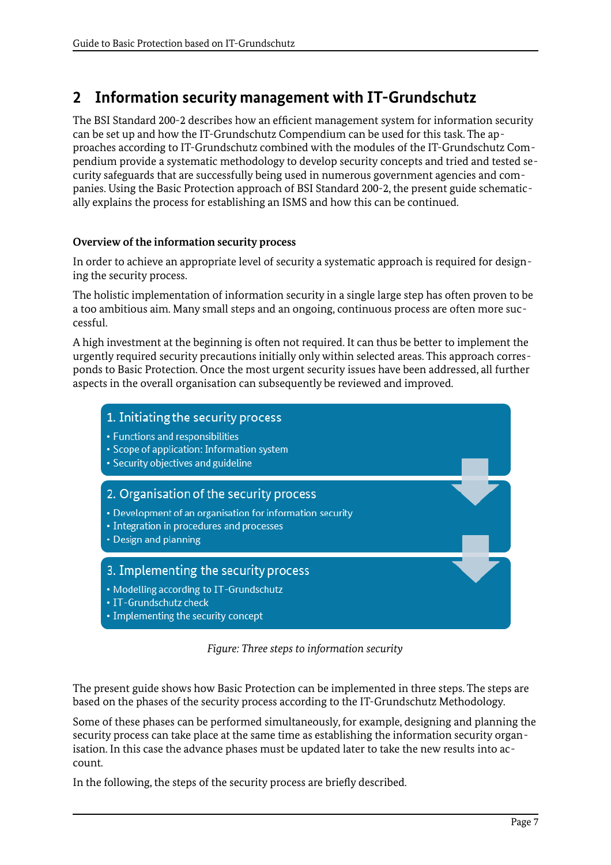# <span id="page-6-0"></span>**2 Information security management with IT-Grundschutz**

The BSI Standard 200-2 describes how an efficient management system for information security can be set up and how the IT-Grundschutz Compendium can be used for this task. The approaches according to IT-Grundschutz combined with the modules of the IT-Grundschutz Compendium provide a systematic methodology to develop security concepts and tried and tested security safeguards that are successfully being used in numerous government agencies and companies. Using the Basic Protection approach of BSI Standard 200-2, the present guide schematically explains the process for establishing an ISMS and how this can be continued.

#### **Overview of the information security process**

In order to achieve an appropriate level of security a systematic approach is required for designing the security process.

The holistic implementation of information security in a single large step has often proven to be a too ambitious aim. Many small steps and an ongoing, continuous process are often more successful.

A high investment at the beginning is often not required. It can thus be better to implement the urgently required security precautions initially only within selected areas. This approach corresponds to Basic Protection. Once the most urgent security issues have been addressed, all further aspects in the overall organisation can subsequently be reviewed and improved.



*Figure: Three steps to information security*

The present guide shows how Basic Protection can be implemented in three steps. The steps are based on the phases of the security process according to the IT-Grundschutz Methodology.

Some of these phases can be performed simultaneously, for example, designing and planning the security process can take place at the same time as establishing the information security organisation. In this case the advance phases must be updated later to take the new results into account.

In the following, the steps of the security process are briefly described.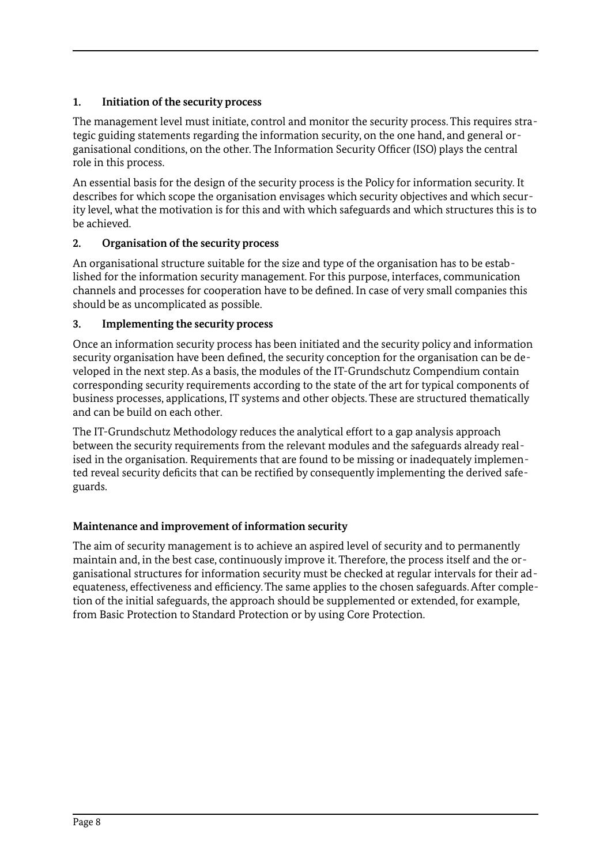# **1. Initiation of the security process**

The management level must initiate, control and monitor the security process. This requires strategic guiding statements regarding the information security, on the one hand, and general organisational conditions, on the other. The Information Security Officer (ISO) plays the central role in this process.

An essential basis for the design of the security process is the Policy for information security. It describes for which scope the organisation envisages which security objectives and which security level, what the motivation is for this and with which safeguards and which structures this is to be achieved.

# **2. Organisation of the security process**

An organisational structure suitable for the size and type of the organisation has to be established for the information security management. For this purpose, interfaces, communication channels and processes for cooperation have to be defined. In case of very small companies this should be as uncomplicated as possible.

# **3. Implementing the security process**

Once an information security process has been initiated and the security policy and information security organisation have been defined, the security conception for the organisation can be developed in the next step. As a basis, the modules of the IT-Grundschutz Compendium contain corresponding security requirements according to the state of the art for typical components of business processes, applications, IT systems and other objects. These are structured thematically and can be build on each other.

The IT-Grundschutz Methodology reduces the analytical effort to a gap analysis approach between the security requirements from the relevant modules and the safeguards already realised in the organisation. Requirements that are found to be missing or inadequately implemented reveal security deficits that can be rectified by consequently implementing the derived safeguards.

# **Maintenance and improvement of information security**

The aim of security management is to achieve an aspired level of security and to permanently maintain and, in the best case, continuously improve it. Therefore, the process itself and the organisational structures for information security must be checked at regular intervals for their adequateness, effectiveness and efficiency. The same applies to the chosen safeguards. After completion of the initial safeguards, the approach should be supplemented or extended, for example, from Basic Protection to Standard Protection or by using Core Protection.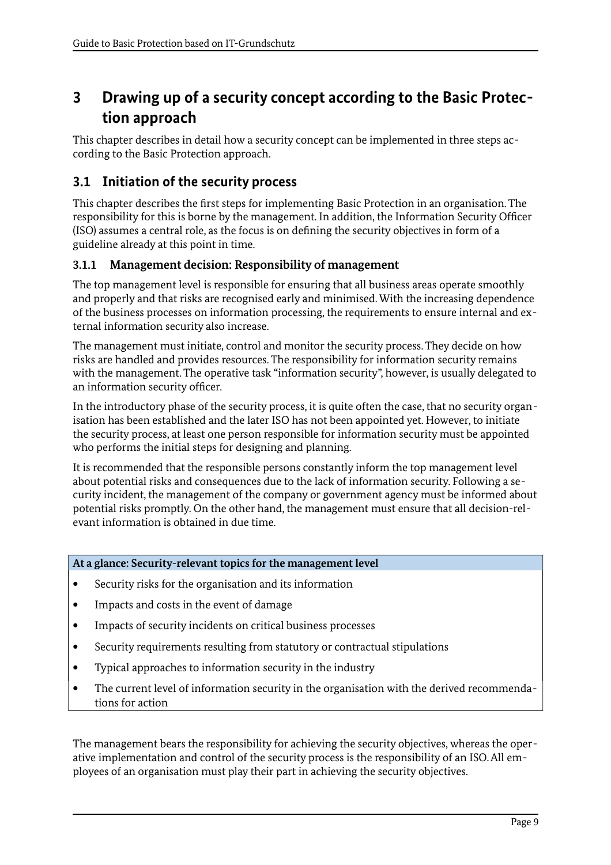# <span id="page-8-2"></span>**3 Drawing up of a security concept according to the Basic Protection approach**

This chapter describes in detail how a security concept can be implemented in three steps according to the Basic Protection approach.

# <span id="page-8-1"></span>**3.1 Initiation of the security process**

This chapter describes the first steps for implementing Basic Protection in an organisation. The responsibility for this is borne by the management. In addition, the Information Security Officer (ISO) assumes a central role, as the focus is on defining the security objectives in form of a guideline already at this point in time.

# <span id="page-8-0"></span>**3.1.1 Management decision: Responsibility of management**

The top management level is responsible for ensuring that all business areas operate smoothly and properly and that risks are recognised early and minimised. With the increasing dependence of the business processes on information processing, the requirements to ensure internal and external information security also increase.

The management must initiate, control and monitor the security process. They decide on how risks are handled and provides resources. The responsibility for information security remains with the management. The operative task "information security", however, is usually delegated to an information security officer.

In the introductory phase of the security process, it is quite often the case, that no security organisation has been established and the later ISO has not been appointed yet. However, to initiate the security process, at least one person responsible for information security must be appointed who performs the initial steps for designing and planning.

It is recommended that the responsible persons constantly inform the top management level about potential risks and consequences due to the lack of information security. Following a security incident, the management of the company or government agency must be informed about potential risks promptly. On the other hand, the management must ensure that all decision-relevant information is obtained in due time.

# **At a glance: Security-relevant topics for the management level**

- Security risks for the organisation and its information
- Impacts and costs in the event of damage
- Impacts of security incidents on critical business processes
- Security requirements resulting from statutory or contractual stipulations
- Typical approaches to information security in the industry
- The current level of information security in the organisation with the derived recommendations for action

The management bears the responsibility for achieving the security objectives, whereas the operative implementation and control of the security process is the responsibility of an ISO. All employees of an organisation must play their part in achieving the security objectives.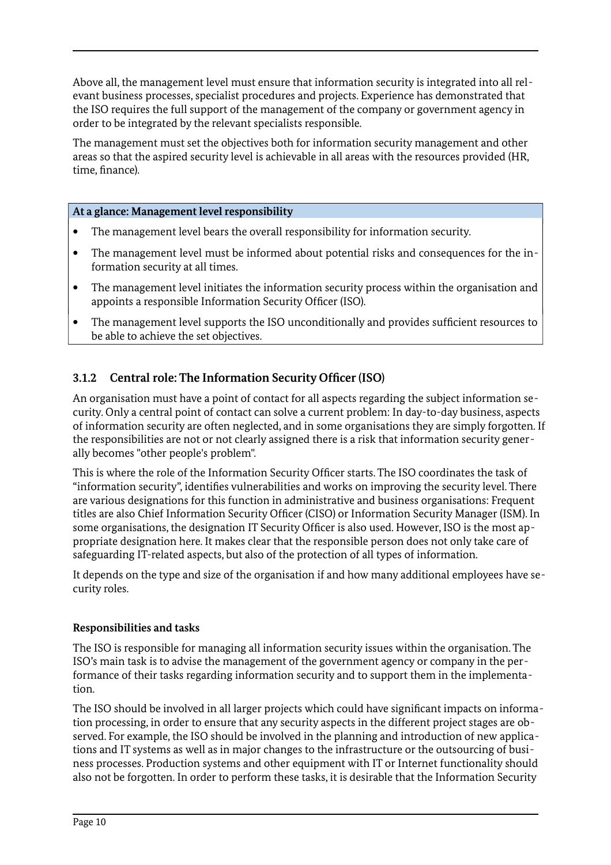Above all, the management level must ensure that information security is integrated into all relevant business processes, specialist procedures and projects. Experience has demonstrated that the ISO requires the full support of the management of the company or government agency in order to be integrated by the relevant specialists responsible.

The management must set the objectives both for information security management and other areas so that the aspired security level is achievable in all areas with the resources provided (HR, time, finance).

#### **At a glance: Management level responsibility**

- The management level bears the overall responsibility for information security.
- The management level must be informed about potential risks and consequences for the information security at all times.
- The management level initiates the information security process within the organisation and appoints a responsible Information Security Officer (ISO).
- The management level supports the ISO unconditionally and provides sufficient resources to be able to achieve the set objectives.

# <span id="page-9-0"></span>**3.1.2 Central role: The Information Security Officer (ISO)**

An organisation must have a point of contact for all aspects regarding the subject information security. Only a central point of contact can solve a current problem: In day-to-day business, aspects of information security are often neglected, and in some organisations they are simply forgotten. If the responsibilities are not or not clearly assigned there is a risk that information security generally becomes "other people's problem".

This is where the role of the Information Security Officer starts. The ISO coordinates the task of "information security", identifies vulnerabilities and works on improving the security level. There are various designations for this function in administrative and business organisations: Frequent titles are also Chief Information Security Officer (CISO) or Information Security Manager (ISM). In some organisations, the designation IT Security Officer is also used. However, ISO is the most appropriate designation here. It makes clear that the responsible person does not only take care of safeguarding IT-related aspects, but also of the protection of all types of information.

It depends on the type and size of the organisation if and how many additional employees have security roles.

#### **Responsibilities and tasks**

The ISO is responsible for managing all information security issues within the organisation. The ISO's main task is to advise the management of the government agency or company in the performance of their tasks regarding information security and to support them in the implementation.

The ISO should be involved in all larger projects which could have significant impacts on information processing, in order to ensure that any security aspects in the different project stages are observed. For example, the ISO should be involved in the planning and introduction of new applications and IT systems as well as in major changes to the infrastructure or the outsourcing of business processes. Production systems and other equipment with IT or Internet functionality should also not be forgotten. In order to perform these tasks, it is desirable that the Information Security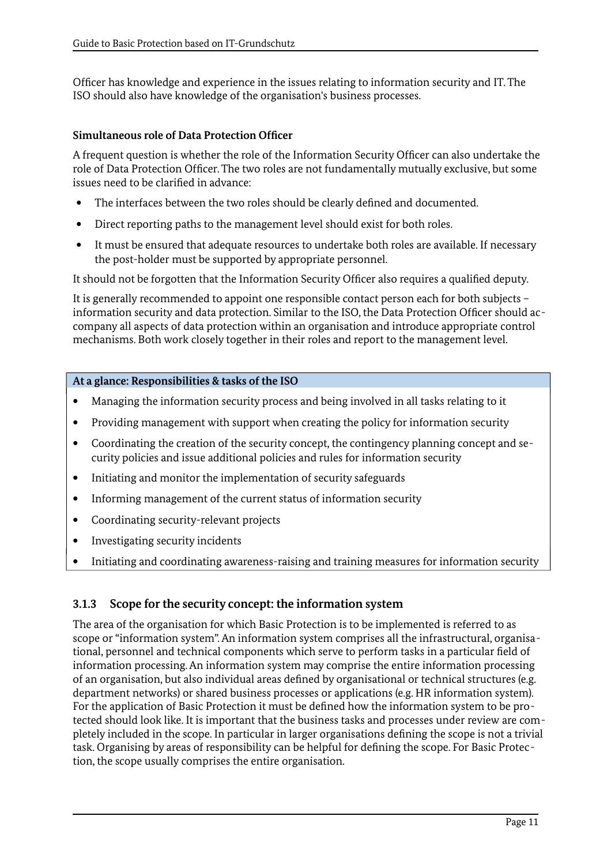Officer has knowledge and experience in the issues relating to information security and IT. The ISO should also have knowledge of the organisation's business processes.

#### **Simultaneous role of Data Protection Officer**

A frequent question is whether the role of the Information Security Officer can also undertake the role of Data Protection Officer. The two roles are not fundamentally mutually exclusive, but some issues need to be clarified in advance:

- The interfaces between the two roles should be clearly defined and documented.
- Direct reporting paths to the management level should exist for both roles.
- It must be ensured that adequate resources to undertake both roles are available. If necessary the post-holder must be supported by appropriate personnel.

It should not be forgotten that the Information Security Officer also requires a qualified deputy.

It is generally recommended to appoint one responsible contact person each for both subjects – information security and data protection. Similar to the ISO, the Data Protection Officer should accompany all aspects of data protection within an organisation and introduce appropriate control mechanisms. Both work closely together in their roles and report to the management level.

#### **At a glance: Responsibilities & tasks of the ISO**

- Managing the information security process and being involved in all tasks relating to it
- Providing management with support when creating the policy for information security
- Coordinating the creation of the security concept, the contingency planning concept and security policies and issue additional policies and rules for information security
- Initiating and monitor the implementation of security safeguards
- Informing management of the current status of information security
- Coordinating security-relevant projects
- Investigating security incidents
- Initiating and coordinating awareness-raising and training measures for information security

# <span id="page-10-0"></span>**3.1.3 Scope for the security concept: the information system**

The area of the organisation for which Basic Protection is to be implemented is referred to as scope or "information system". An information system comprises all the infrastructural, organisational, personnel and technical components which serve to perform tasks in a particular field of information processing. An information system may comprise the entire information processing of an organisation, but also individual areas defined by organisational or technical structures (e.g. department networks) or shared business processes or applications (e.g. HR information system). For the application of Basic Protection it must be defined how the information system to be protected should look like. It is important that the business tasks and processes under review are completely included in the scope. In particular in larger organisations defining the scope is not a trivial task. Organising by areas of responsibility can be helpful for defining the scope. For Basic Protection, the scope usually comprises the entire organisation.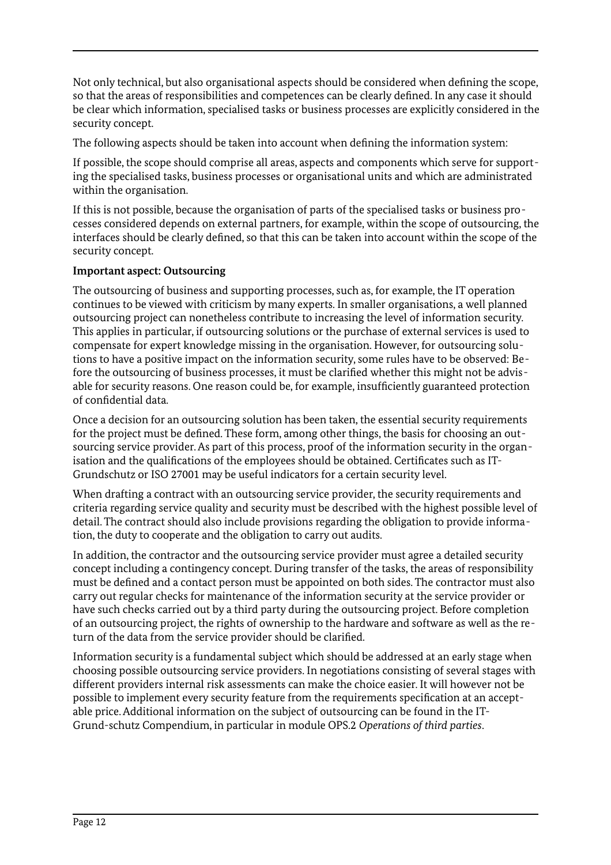Not only technical, but also organisational aspects should be considered when defining the scope, so that the areas of responsibilities and competences can be clearly defined. In any case it should be clear which information, specialised tasks or business processes are explicitly considered in the security concept.

The following aspects should be taken into account when defining the information system:

If possible, the scope should comprise all areas, aspects and components which serve for supporting the specialised tasks, business processes or organisational units and which are administrated within the organisation.

If this is not possible, because the organisation of parts of the specialised tasks or business processes considered depends on external partners, for example, within the scope of outsourcing, the interfaces should be clearly defined, so that this can be taken into account within the scope of the security concept.

#### **Important aspect: Outsourcing**

The outsourcing of business and supporting processes, such as, for example, the IT operation continues to be viewed with criticism by many experts. In smaller organisations, a well planned outsourcing project can nonetheless contribute to increasing the level of information security. This applies in particular, if outsourcing solutions or the purchase of external services is used to compensate for expert knowledge missing in the organisation. However, for outsourcing solutions to have a positive impact on the information security, some rules have to be observed: Before the outsourcing of business processes, it must be clarified whether this might not be advisable for security reasons. One reason could be, for example, insufficiently guaranteed protection of confidential data.

Once a decision for an outsourcing solution has been taken, the essential security requirements for the project must be defined. These form, among other things, the basis for choosing an outsourcing service provider. As part of this process, proof of the information security in the organisation and the qualifications of the employees should be obtained. Certificates such as IT-Grundschutz or ISO 27001 may be useful indicators for a certain security level.

When drafting a contract with an outsourcing service provider, the security requirements and criteria regarding service quality and security must be described with the highest possible level of detail. The contract should also include provisions regarding the obligation to provide information, the duty to cooperate and the obligation to carry out audits.

In addition, the contractor and the outsourcing service provider must agree a detailed security concept including a contingency concept. During transfer of the tasks, the areas of responsibility must be defined and a contact person must be appointed on both sides. The contractor must also carry out regular checks for maintenance of the information security at the service provider or have such checks carried out by a third party during the outsourcing project. Before completion of an outsourcing project, the rights of ownership to the hardware and software as well as the return of the data from the service provider should be clarified.

Information security is a fundamental subject which should be addressed at an early stage when choosing possible outsourcing service providers. In negotiations consisting of several stages with different providers internal risk assessments can make the choice easier. It will however not be possible to implement every security feature from the requirements specification at an acceptable price. Additional information on the subject of outsourcing can be found in the IT-Grund-schutz Compendium, in particular in module OPS.2 *Operations of third parties*.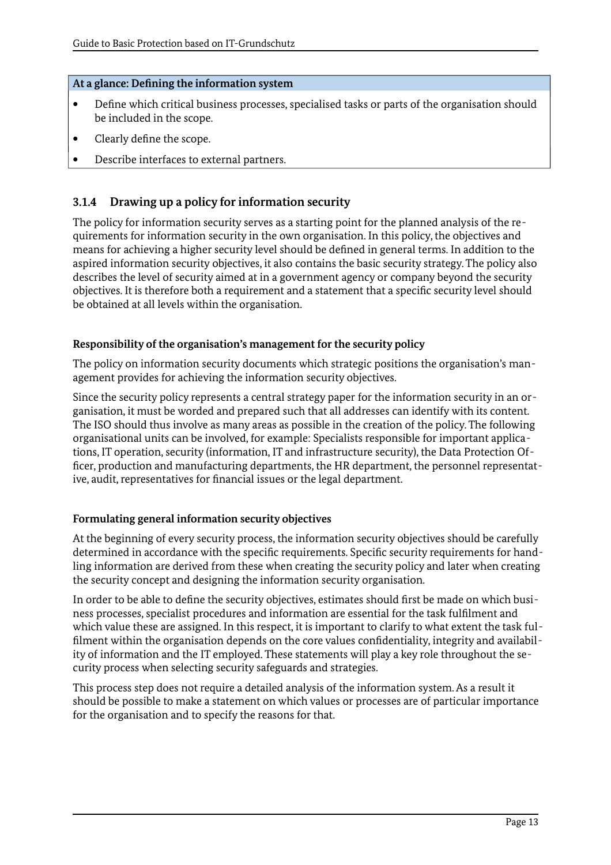#### **At a glance: Defining the information system**

- Define which critical business processes, specialised tasks or parts of the organisation should be included in the scope.
- Clearly define the scope.
- Describe interfaces to external partners.

# <span id="page-12-0"></span>**3.1.4 Drawing up a policy for information security**

The policy for information security serves as a starting point for the planned analysis of the requirements for information security in the own organisation. In this policy, the objectives and means for achieving a higher security level should be defined in general terms. In addition to the aspired information security objectives, it also contains the basic security strategy. The policy also describes the level of security aimed at in a government agency or company beyond the security objectives. It is therefore both a requirement and a statement that a specific security level should be obtained at all levels within the organisation.

#### **Responsibility of the organisation's management for the security policy**

The policy on information security documents which strategic positions the organisation's management provides for achieving the information security objectives.

Since the security policy represents a central strategy paper for the information security in an organisation, it must be worded and prepared such that all addresses can identify with its content. The ISO should thus involve as many areas as possible in the creation of the policy. The following organisational units can be involved, for example: Specialists responsible for important applications, IT operation, security (information, IT and infrastructure security), the Data Protection Officer, production and manufacturing departments, the HR department, the personnel representative, audit, representatives for financial issues or the legal department.

# **Formulating general information security objectives**

At the beginning of every security process, the information security objectives should be carefully determined in accordance with the specific requirements. Specific security requirements for handling information are derived from these when creating the security policy and later when creating the security concept and designing the information security organisation.

In order to be able to define the security objectives, estimates should first be made on which business processes, specialist procedures and information are essential for the task fulfilment and which value these are assigned. In this respect, it is important to clarify to what extent the task fulfilment within the organisation depends on the core values confidentiality, integrity and availability of information and the IT employed. These statements will play a key role throughout the security process when selecting security safeguards and strategies.

This process step does not require a detailed analysis of the information system. As a result it should be possible to make a statement on which values or processes are of particular importance for the organisation and to specify the reasons for that.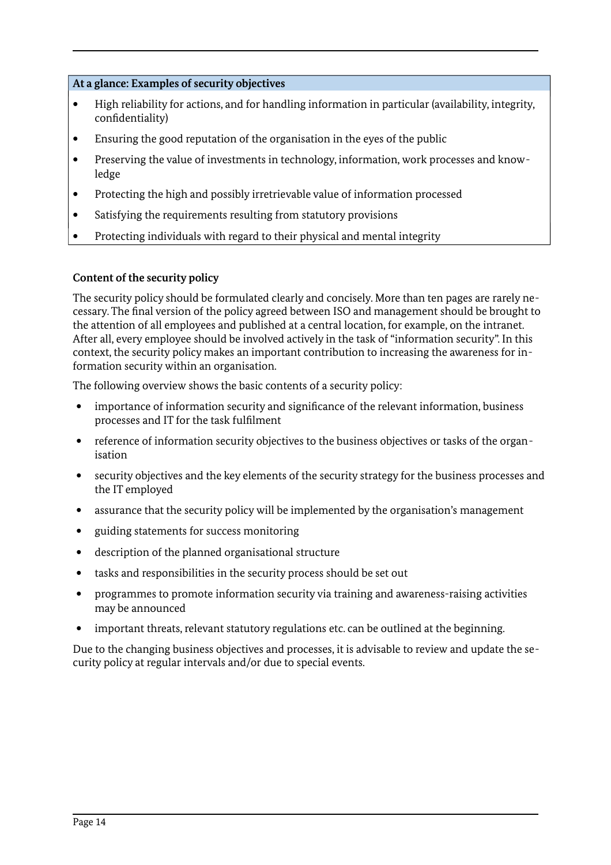#### **At a glance: Examples of security objectives**

- High reliability for actions, and for handling information in particular (availability, integrity, confidentiality)
- Ensuring the good reputation of the organisation in the eyes of the public
- Preserving the value of investments in technology, information, work processes and knowledge
- Protecting the high and possibly irretrievable value of information processed
- Satisfying the requirements resulting from statutory provisions
- Protecting individuals with regard to their physical and mental integrity

#### **Content of the security policy**

The security policy should be formulated clearly and concisely. More than ten pages are rarely necessary. The final version of the policy agreed between ISO and management should be brought to the attention of all employees and published at a central location, for example, on the intranet. After all, every employee should be involved actively in the task of "information security". In this context, the security policy makes an important contribution to increasing the awareness for information security within an organisation.

The following overview shows the basic contents of a security policy:

- importance of information security and significance of the relevant information, business processes and IT for the task fulfilment
- reference of information security objectives to the business objectives or tasks of the organisation
- security objectives and the key elements of the security strategy for the business processes and the IT employed
- assurance that the security policy will be implemented by the organisation's management
- guiding statements for success monitoring
- description of the planned organisational structure
- tasks and responsibilities in the security process should be set out
- programmes to promote information security via training and awareness-raising activities may be announced
- important threats, relevant statutory regulations etc. can be outlined at the beginning.

Due to the changing business objectives and processes, it is advisable to review and update the security policy at regular intervals and/or due to special events.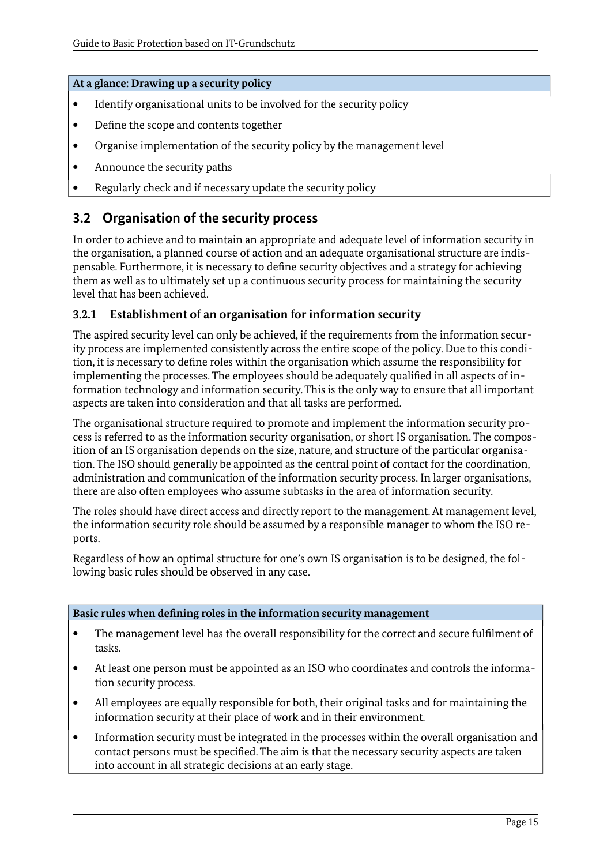#### **At a glance: Drawing up a security policy**

- Identify organisational units to be involved for the security policy
- Define the scope and contents together
- Organise implementation of the security policy by the management level
- Announce the security paths
- Regularly check and if necessary update the security policy

# <span id="page-14-1"></span>**3.2 Organisation of the security process**

In order to achieve and to maintain an appropriate and adequate level of information security in the organisation, a planned course of action and an adequate organisational structure are indispensable. Furthermore, it is necessary to define security objectives and a strategy for achieving them as well as to ultimately set up a continuous security process for maintaining the security level that has been achieved.

# <span id="page-14-0"></span>**3.2.1 Establishment of an organisation for information security**

The aspired security level can only be achieved, if the requirements from the information security process are implemented consistently across the entire scope of the policy. Due to this condition, it is necessary to define roles within the organisation which assume the responsibility for implementing the processes. The employees should be adequately qualified in all aspects of information technology and information security. This is the only way to ensure that all important aspects are taken into consideration and that all tasks are performed.

The organisational structure required to promote and implement the information security process is referred to as the information security organisation, or short IS organisation. The composition of an IS organisation depends on the size, nature, and structure of the particular organisation. The ISO should generally be appointed as the central point of contact for the coordination, administration and communication of the information security process. In larger organisations, there are also often employees who assume subtasks in the area of information security.

The roles should have direct access and directly report to the management. At management level, the information security role should be assumed by a responsible manager to whom the ISO reports.

Regardless of how an optimal structure for one's own IS organisation is to be designed, the following basic rules should be observed in any case.

#### **Basic rules when defining roles in the information security management**

- The management level has the overall responsibility for the correct and secure fulfilment of tasks.
- At least one person must be appointed as an ISO who coordinates and controls the information security process.
- All employees are equally responsible for both, their original tasks and for maintaining the information security at their place of work and in their environment.
- Information security must be integrated in the processes within the overall organisation and contact persons must be specified. The aim is that the necessary security aspects are taken into account in all strategic decisions at an early stage.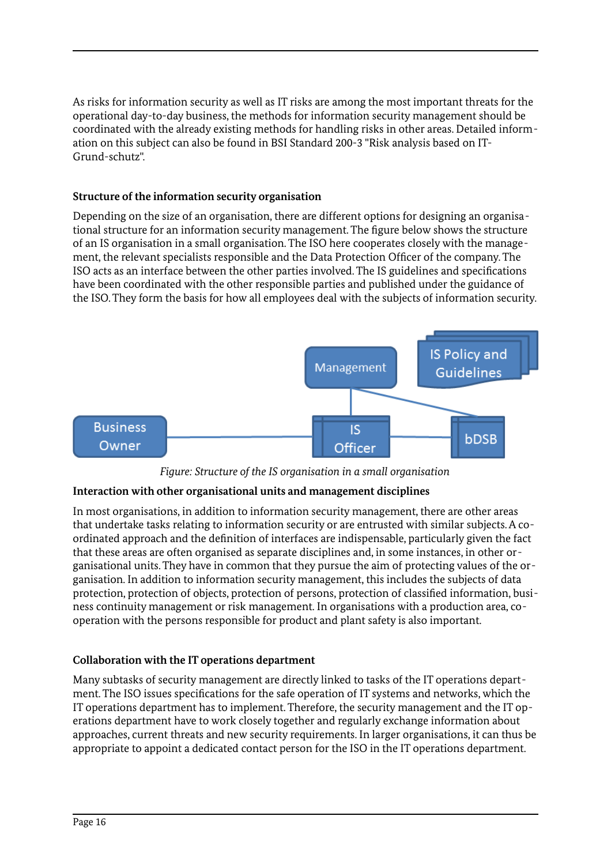As risks for information security as well as IT risks are among the most important threats for the operational day-to-day business, the methods for information security management should be coordinated with the already existing methods for handling risks in other areas. Detailed information on this subject can also be found in BSI Standard 200-3 "Risk analysis based on IT-Grund-schutz".

#### **Structure of the information security organisation**

Depending on the size of an organisation, there are different options for designing an organisational structure for an information security management. The figure below shows the structure of an IS organisation in a small organisation. The ISO here cooperates closely with the management, the relevant specialists responsible and the Data Protection Officer of the company. The ISO acts as an interface between the other parties involved. The IS guidelines and specifications have been coordinated with the other responsible parties and published under the guidance of the ISO. They form the basis for how all employees deal with the subjects of information security.



*Figure: Structure of the IS organisation in a small organisation*

# **Interaction with other organisational units and management disciplines**

In most organisations, in addition to information security management, there are other areas that undertake tasks relating to information security or are entrusted with similar subjects. A coordinated approach and the definition of interfaces are indispensable, particularly given the fact that these areas are often organised as separate disciplines and, in some instances, in other organisational units. They have in common that they pursue the aim of protecting values of the organisation. In addition to information security management, this includes the subjects of data protection, protection of objects, protection of persons, protection of classified information, business continuity management or risk management. In organisations with a production area, cooperation with the persons responsible for product and plant safety is also important.

# **Collaboration with the IT operations department**

Many subtasks of security management are directly linked to tasks of the IT operations department. The ISO issues specifications for the safe operation of IT systems and networks, which the IT operations department has to implement. Therefore, the security management and the IT operations department have to work closely together and regularly exchange information about approaches, current threats and new security requirements. In larger organisations, it can thus be appropriate to appoint a dedicated contact person for the ISO in the IT operations department.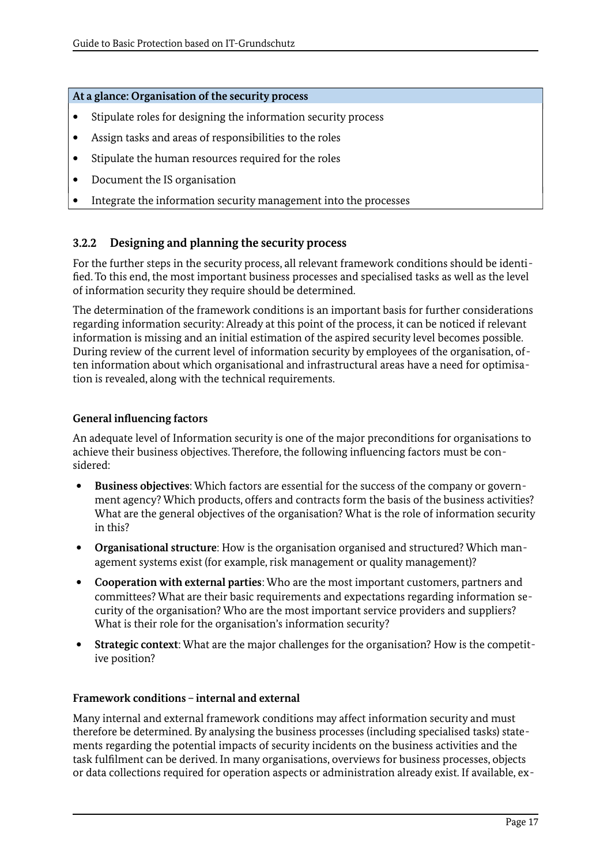#### **At a glance: Organisation of the security process**

- Stipulate roles for designing the information security process
- Assign tasks and areas of responsibilities to the roles
- Stipulate the human resources required for the roles
- Document the IS organisation
- Integrate the information security management into the processes

# <span id="page-16-0"></span>**3.2.2 Designing and planning the security process**

For the further steps in the security process, all relevant framework conditions should be identified. To this end, the most important business processes and specialised tasks as well as the level of information security they require should be determined.

The determination of the framework conditions is an important basis for further considerations regarding information security: Already at this point of the process, it can be noticed if relevant information is missing and an initial estimation of the aspired security level becomes possible. During review of the current level of information security by employees of the organisation, often information about which organisational and infrastructural areas have a need for optimisation is revealed, along with the technical requirements.

#### **General influencing factors**

An adequate level of Information security is one of the major preconditions for organisations to achieve their business objectives. Therefore, the following influencing factors must be considered:

- **Business objectives**: Which factors are essential for the success of the company or government agency? Which products, offers and contracts form the basis of the business activities? What are the general objectives of the organisation? What is the role of information security in this?
- **Organisational structure**: How is the organisation organised and structured? Which management systems exist (for example, risk management or quality management)?
- **Cooperation with external parties**: Who are the most important customers, partners and committees? What are their basic requirements and expectations regarding information security of the organisation? Who are the most important service providers and suppliers? What is their role for the organisation's information security?
- **Strategic context**: What are the major challenges for the organisation? How is the competitive position?

#### **Framework conditions – internal and external**

Many internal and external framework conditions may affect information security and must therefore be determined. By analysing the business processes (including specialised tasks) statements regarding the potential impacts of security incidents on the business activities and the task fulfilment can be derived. In many organisations, overviews for business processes, objects or data collections required for operation aspects or administration already exist. If available, ex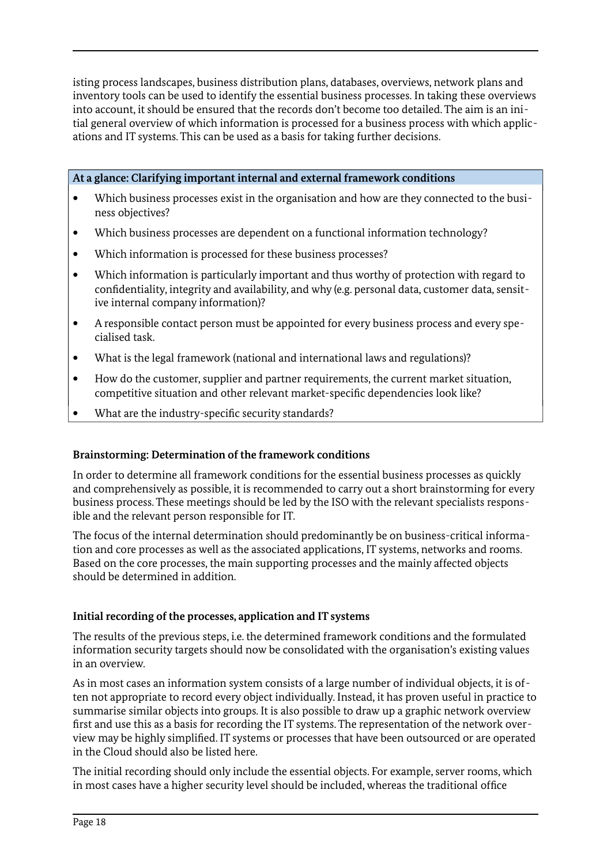isting process landscapes, business distribution plans, databases, overviews, network plans and inventory tools can be used to identify the essential business processes. In taking these overviews into account, it should be ensured that the records don't become too detailed. The aim is an initial general overview of which information is processed for a business process with which applications and IT systems. This can be used as a basis for taking further decisions.

**At a glance: Clarifying important internal and external framework conditions**

- Which business processes exist in the organisation and how are they connected to the business objectives?
- Which business processes are dependent on a functional information technology?
- Which information is processed for these business processes?
- Which information is particularly important and thus worthy of protection with regard to confidentiality, integrity and availability, and why (e.g. personal data, customer data, sensitive internal company information)?
- A responsible contact person must be appointed for every business process and every specialised task.
- What is the legal framework (national and international laws and regulations)?
- How do the customer, supplier and partner requirements, the current market situation, competitive situation and other relevant market-specific dependencies look like?
- What are the industry-specific security standards?

#### **Brainstorming: Determination of the framework conditions**

In order to determine all framework conditions for the essential business processes as quickly and comprehensively as possible, it is recommended to carry out a short brainstorming for every business process. These meetings should be led by the ISO with the relevant specialists responsible and the relevant person responsible for IT.

The focus of the internal determination should predominantly be on business-critical information and core processes as well as the associated applications, IT systems, networks and rooms. Based on the core processes, the main supporting processes and the mainly affected objects should be determined in addition.

#### **Initial recording of the processes, application and IT systems**

The results of the previous steps, i.e. the determined framework conditions and the formulated information security targets should now be consolidated with the organisation's existing values in an overview.

As in most cases an information system consists of a large number of individual objects, it is often not appropriate to record every object individually. Instead, it has proven useful in practice to summarise similar objects into groups. It is also possible to draw up a graphic network overview first and use this as a basis for recording the IT systems. The representation of the network overview may be highly simplified. IT systems or processes that have been outsourced or are operated in the Cloud should also be listed here.

The initial recording should only include the essential objects. For example, server rooms, which in most cases have a higher security level should be included, whereas the traditional office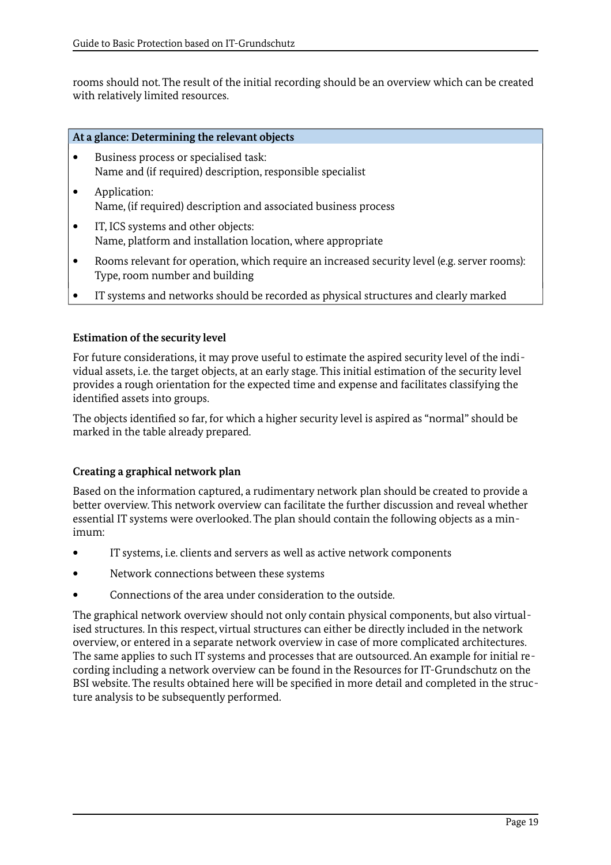rooms should not. The result of the initial recording should be an overview which can be created with relatively limited resources.

#### **At a glance: Determining the relevant objects**

- Business process or specialised task: Name and (if required) description, responsible specialist
- **Application:** Name, (if required) description and associated business process
- IT, ICS systems and other objects: Name, platform and installation location, where appropriate
- Rooms relevant for operation, which require an increased security level (e.g. server rooms): Type, room number and building
- IT systems and networks should be recorded as physical structures and clearly marked

#### **Estimation of the security level**

For future considerations, it may prove useful to estimate the aspired security level of the individual assets, i.e. the target objects, at an early stage. This initial estimation of the security level provides a rough orientation for the expected time and expense and facilitates classifying the identified assets into groups.

The objects identified so far, for which a higher security level is aspired as "normal" should be marked in the table already prepared.

#### **Creating a graphical network plan**

Based on the information captured, a rudimentary network plan should be created to provide a better overview. This network overview can facilitate the further discussion and reveal whether essential IT systems were overlooked. The plan should contain the following objects as a minimum:

- IT systems, i.e. clients and servers as well as active network components
- Network connections between these systems
- Connections of the area under consideration to the outside.

The graphical network overview should not only contain physical components, but also virtualised structures. In this respect, virtual structures can either be directly included in the network overview, or entered in a separate network overview in case of more complicated architectures. The same applies to such IT systems and processes that are outsourced. An example for initial recording including a network overview can be found in the Resources for IT-Grundschutz on the BSI website. The results obtained here will be specified in more detail and completed in the structure analysis to be subsequently performed.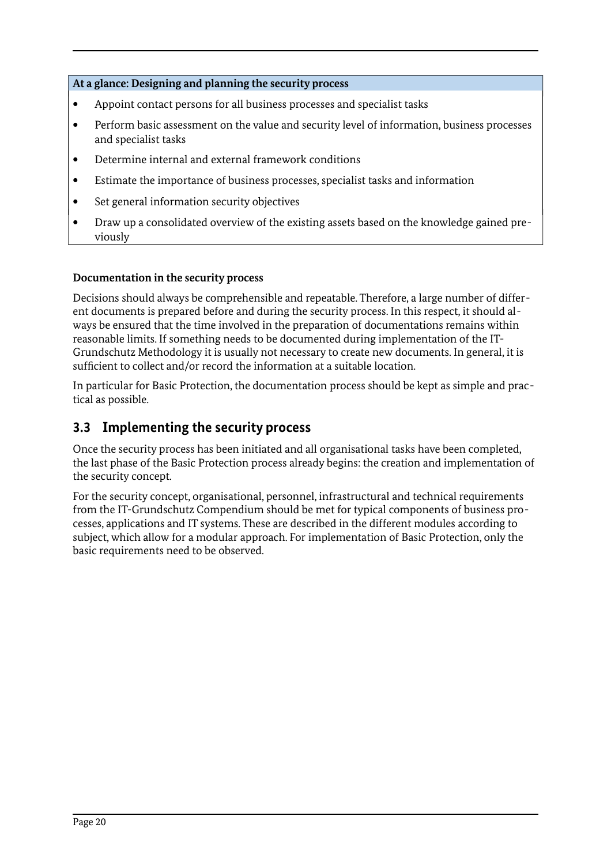#### **At a glance: Designing and planning the security process**

- Appoint contact persons for all business processes and specialist tasks
- Perform basic assessment on the value and security level of information, business processes and specialist tasks
- Determine internal and external framework conditions
- Estimate the importance of business processes, specialist tasks and information
- Set general information security objectives
- Draw up a consolidated overview of the existing assets based on the knowledge gained previously

#### **Documentation in the security process**

Decisions should always be comprehensible and repeatable. Therefore, a large number of different documents is prepared before and during the security process. In this respect, it should always be ensured that the time involved in the preparation of documentations remains within reasonable limits. If something needs to be documented during implementation of the IT-Grundschutz Methodology it is usually not necessary to create new documents. In general, it is sufficient to collect and/or record the information at a suitable location.

In particular for Basic Protection, the documentation process should be kept as simple and practical as possible.

# <span id="page-19-0"></span>**3.3 Implementing the security process**

Once the security process has been initiated and all organisational tasks have been completed, the last phase of the Basic Protection process already begins: the creation and implementation of the security concept.

For the security concept, organisational, personnel, infrastructural and technical requirements from the IT-Grundschutz Compendium should be met for typical components of business processes, applications and IT systems. These are described in the different modules according to subject, which allow for a modular approach. For implementation of Basic Protection, only the basic requirements need to be observed.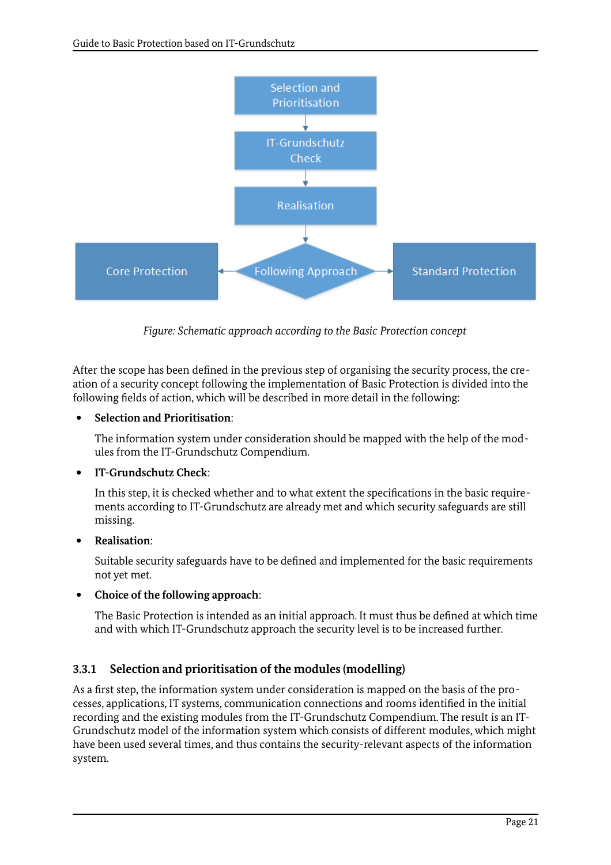

*Figure: Schematic approach according to the Basic Protection concept*

After the scope has been defined in the previous step of organising the security process, the creation of a security concept following the implementation of Basic Protection is divided into the following fields of action, which will be described in more detail in the following:

#### **Selection and Prioritisation**:

The information system under consideration should be mapped with the help of the modules from the IT-Grundschutz Compendium.

# **IT-Grundschutz Check**:

In this step, it is checked whether and to what extent the specifications in the basic requirements according to IT-Grundschutz are already met and which security safeguards are still missing.

#### **Realisation**:

Suitable security safeguards have to be defined and implemented for the basic requirements not yet met.

#### **Choice of the following approach**:

The Basic Protection is intended as an initial approach. It must thus be defined at which time and with which IT-Grundschutz approach the security level is to be increased further.

# <span id="page-20-0"></span>**3.3.1 Selection and prioritisation of the modules (modelling)**

As a first step, the information system under consideration is mapped on the basis of the processes, applications, IT systems, communication connections and rooms identified in the initial recording and the existing modules from the IT-Grundschutz Compendium. The result is an IT-Grundschutz model of the information system which consists of different modules, which might have been used several times, and thus contains the security-relevant aspects of the information system.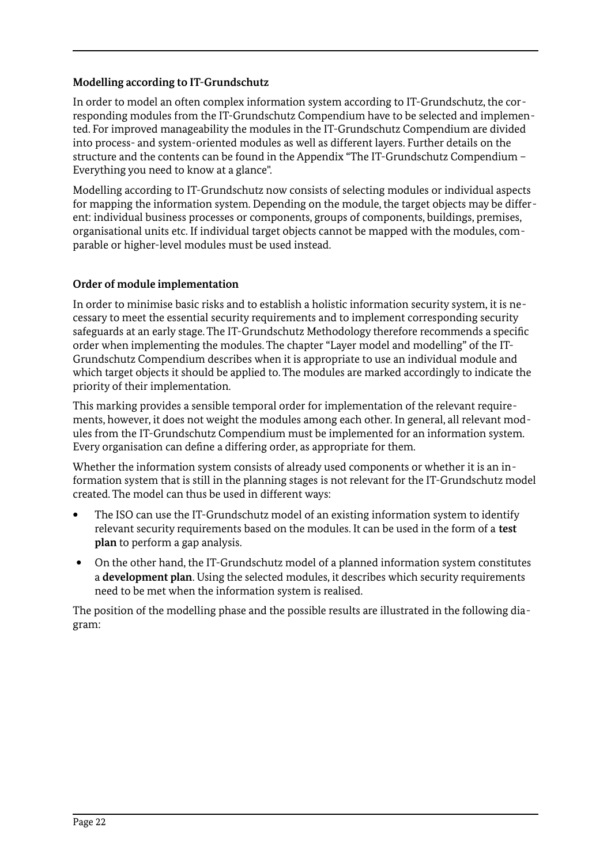### **Modelling according to IT-Grundschutz**

In order to model an often complex information system according to IT-Grundschutz, the corresponding modules from the IT-Grundschutz Compendium have to be selected and implemented. For improved manageability the modules in the IT-Grundschutz Compendium are divided into process- and system-oriented modules as well as different layers. Further details on the structure and the contents can be found in the Appendix "The IT-Grundschutz Compendium – Everything you need to know at a glance".

Modelling according to IT-Grundschutz now consists of selecting modules or individual aspects for mapping the information system. Depending on the module, the target objects may be different: individual business processes or components, groups of components, buildings, premises, organisational units etc. If individual target objects cannot be mapped with the modules, comparable or higher-level modules must be used instead.

#### **Order of module implementation**

In order to minimise basic risks and to establish a holistic information security system, it is necessary to meet the essential security requirements and to implement corresponding security safeguards at an early stage. The IT-Grundschutz Methodology therefore recommends a specific order when implementing the modules. The chapter "Layer model and modelling" of the IT-Grundschutz Compendium describes when it is appropriate to use an individual module and which target objects it should be applied to. The modules are marked accordingly to indicate the priority of their implementation.

This marking provides a sensible temporal order for implementation of the relevant requirements, however, it does not weight the modules among each other. In general, all relevant modules from the IT-Grundschutz Compendium must be implemented for an information system. Every organisation can define a differing order, as appropriate for them.

Whether the information system consists of already used components or whether it is an information system that is still in the planning stages is not relevant for the IT-Grundschutz model created. The model can thus be used in different ways:

- The ISO can use the IT-Grundschutz model of an existing information system to identify relevant security requirements based on the modules. It can be used in the form of a **test plan** to perform a gap analysis.
- On the other hand, the IT-Grundschutz model of a planned information system constitutes a **development plan**. Using the selected modules, it describes which security requirements need to be met when the information system is realised.

The position of the modelling phase and the possible results are illustrated in the following diagram: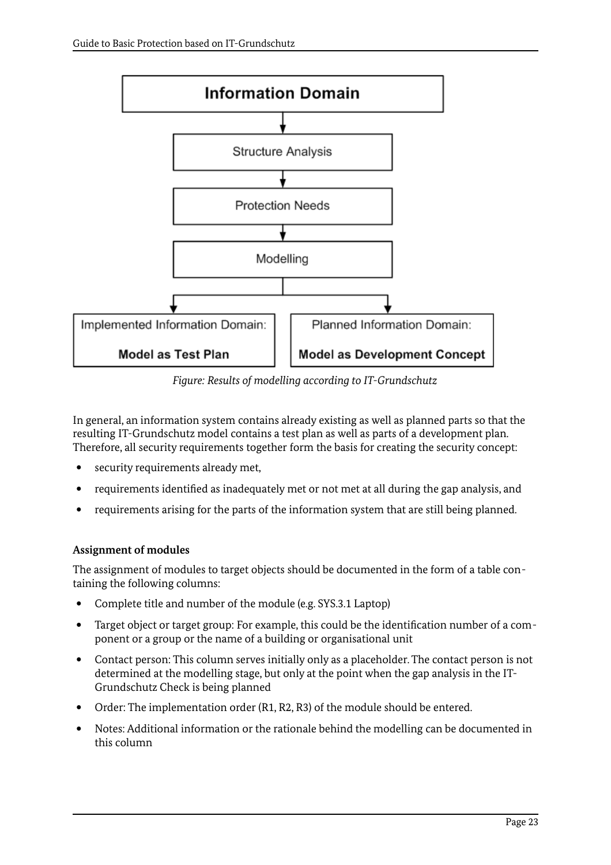

*Figure: Results of modelling according to IT-Grundschutz*

In general, an information system contains already existing as well as planned parts so that the resulting IT-Grundschutz model contains a test plan as well as parts of a development plan. Therefore, all security requirements together form the basis for creating the security concept:

- security requirements already met.
- requirements identified as inadequately met or not met at all during the gap analysis, and
- requirements arising for the parts of the information system that are still being planned.

# **Assignment of modules**

The assignment of modules to target objects should be documented in the form of a table containing the following columns:

- Complete title and number of the module (e.g. SYS.3.1 Laptop)
- Target object or target group: For example, this could be the identification number of a component or a group or the name of a building or organisational unit
- Contact person: This column serves initially only as a placeholder. The contact person is not determined at the modelling stage, but only at the point when the gap analysis in the IT-Grundschutz Check is being planned
- Order: The implementation order (R1, R2, R3) of the module should be entered.
- Notes: Additional information or the rationale behind the modelling can be documented in this column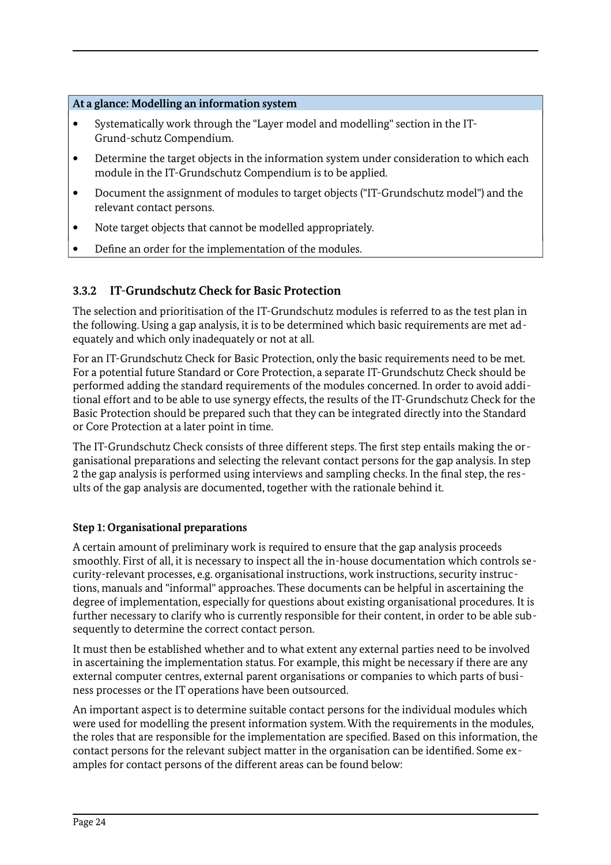### **At a glance: Modelling an information system**

- Systematically work through the "Layer model and modelling" section in the IT-Grund-schutz Compendium.
- Determine the target objects in the information system under consideration to which each module in the IT-Grundschutz Compendium is to be applied.
- Document the assignment of modules to target objects ("IT-Grundschutz model") and the relevant contact persons.
- Note target objects that cannot be modelled appropriately.
- Define an order for the implementation of the modules.

# <span id="page-23-0"></span>**3.3.2 IT-Grundschutz Check for Basic Protection**

The selection and prioritisation of the IT-Grundschutz modules is referred to as the test plan in the following. Using a gap analysis, it is to be determined which basic requirements are met adequately and which only inadequately or not at all.

For an IT-Grundschutz Check for Basic Protection, only the basic requirements need to be met. For a potential future Standard or Core Protection, a separate IT-Grundschutz Check should be performed adding the standard requirements of the modules concerned. In order to avoid additional effort and to be able to use synergy effects, the results of the IT-Grundschutz Check for the Basic Protection should be prepared such that they can be integrated directly into the Standard or Core Protection at a later point in time.

The IT-Grundschutz Check consists of three different steps. The first step entails making the organisational preparations and selecting the relevant contact persons for the gap analysis. In step 2 the gap analysis is performed using interviews and sampling checks. In the final step, the results of the gap analysis are documented, together with the rationale behind it.

# **Step 1: Organisational preparations**

A certain amount of preliminary work is required to ensure that the gap analysis proceeds smoothly. First of all, it is necessary to inspect all the in-house documentation which controls security-relevant processes, e.g. organisational instructions, work instructions, security instructions, manuals and "informal" approaches. These documents can be helpful in ascertaining the degree of implementation, especially for questions about existing organisational procedures. It is further necessary to clarify who is currently responsible for their content, in order to be able subsequently to determine the correct contact person.

It must then be established whether and to what extent any external parties need to be involved in ascertaining the implementation status. For example, this might be necessary if there are any external computer centres, external parent organisations or companies to which parts of business processes or the IT operations have been outsourced.

An important aspect is to determine suitable contact persons for the individual modules which were used for modelling the present information system. With the requirements in the modules, the roles that are responsible for the implementation are specified. Based on this information, the contact persons for the relevant subject matter in the organisation can be identified. Some examples for contact persons of the different areas can be found below: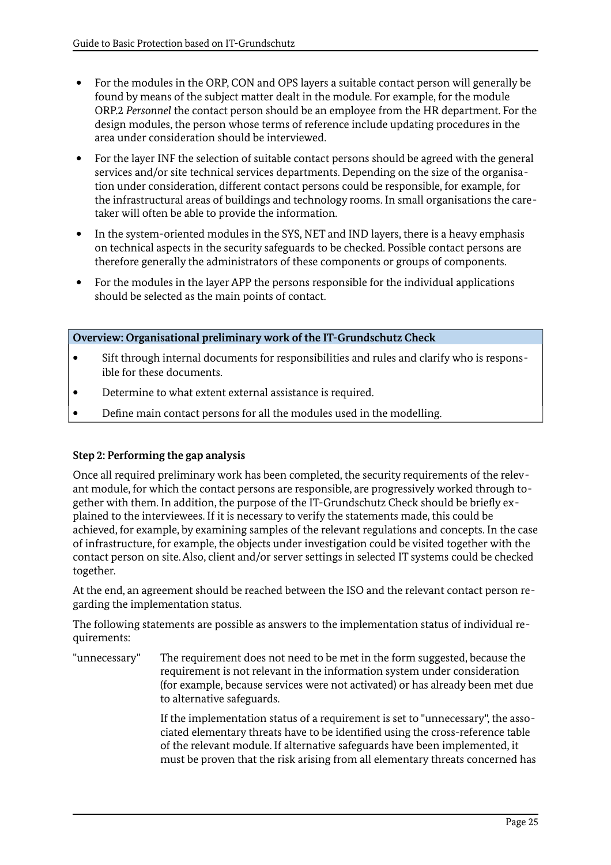- For the modules in the ORP, CON and OPS layers a suitable contact person will generally be found by means of the subject matter dealt in the module. For example, for the module ORP.2 *Personnel* the contact person should be an employee from the HR department. For the design modules, the person whose terms of reference include updating procedures in the area under consideration should be interviewed.
- For the layer INF the selection of suitable contact persons should be agreed with the general services and/or site technical services departments. Depending on the size of the organisation under consideration, different contact persons could be responsible, for example, for the infrastructural areas of buildings and technology rooms. In small organisations the caretaker will often be able to provide the information.
- In the system-oriented modules in the SYS, NET and IND layers, there is a heavy emphasis on technical aspects in the security safeguards to be checked. Possible contact persons are therefore generally the administrators of these components or groups of components.
- For the modules in the layer APP the persons responsible for the individual applications should be selected as the main points of contact.

**Overview: Organisational preliminary work of the IT-Grundschutz Check**

- Sift through internal documents for responsibilities and rules and clarify who is responsible for these documents.
- Determine to what extent external assistance is required.
- Define main contact persons for all the modules used in the modelling.

#### **Step 2: Performing the gap analysis**

Once all required preliminary work has been completed, the security requirements of the relevant module, for which the contact persons are responsible, are progressively worked through together with them. In addition, the purpose of the IT-Grundschutz Check should be briefly explained to the interviewees. If it is necessary to verify the statements made, this could be achieved, for example, by examining samples of the relevant regulations and concepts. In the case of infrastructure, for example, the objects under investigation could be visited together with the contact person on site. Also, client and/or server settings in selected IT systems could be checked together.

At the end, an agreement should be reached between the ISO and the relevant contact person regarding the implementation status.

The following statements are possible as answers to the implementation status of individual requirements:

"unnecessary" The requirement does not need to be met in the form suggested, because the requirement is not relevant in the information system under consideration (for example, because services were not activated) or has already been met due to alternative safeguards.

> If the implementation status of a requirement is set to "unnecessary", the associated elementary threats have to be identified using the cross-reference table of the relevant module. If alternative safeguards have been implemented, it must be proven that the risk arising from all elementary threats concerned has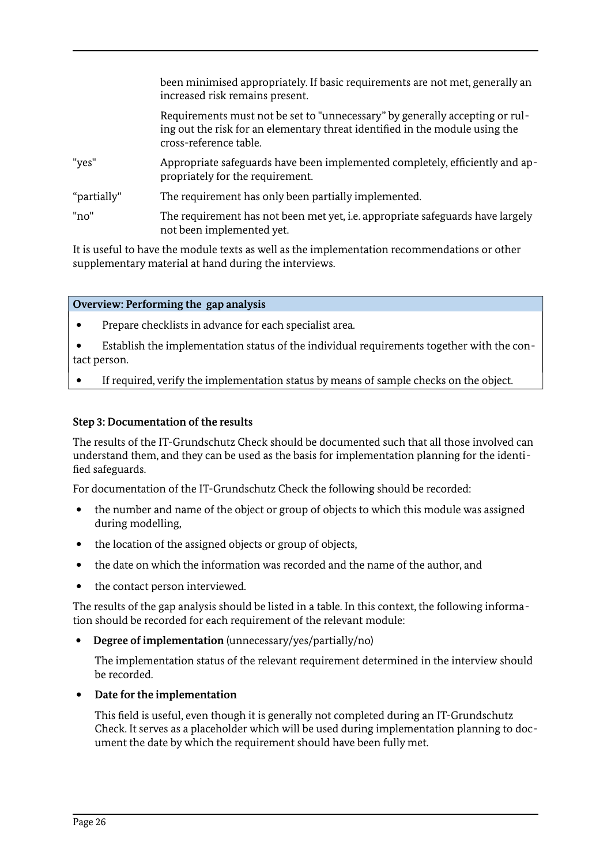|             | been minimised appropriately. If basic requirements are not met, generally an<br>increased risk remains present.                                                                       |
|-------------|----------------------------------------------------------------------------------------------------------------------------------------------------------------------------------------|
|             | Requirements must not be set to "unnecessary" by generally accepting or rul-<br>ing out the risk for an elementary threat identified in the module using the<br>cross-reference table. |
| "yes"       | Appropriate safeguards have been implemented completely, efficiently and ap-<br>propriately for the requirement.                                                                       |
| "partially" | The requirement has only been partially implemented.                                                                                                                                   |
| "no"        | The requirement has not been met yet, <i>i.e.</i> appropriate safeguards have largely<br>not been implemented yet.                                                                     |

It is useful to have the module texts as well as the implementation recommendations or other supplementary material at hand during the interviews.

#### **Overview: Performing the gap analysis**

- Prepare checklists in advance for each specialist area.
- Establish the implementation status of the individual requirements together with the contact person.
- If required, verify the implementation status by means of sample checks on the object.

#### **Step 3: Documentation of the results**

The results of the IT-Grundschutz Check should be documented such that all those involved can understand them, and they can be used as the basis for implementation planning for the identified safeguards.

For documentation of the IT-Grundschutz Check the following should be recorded:

- the number and name of the object or group of objects to which this module was assigned during modelling,
- the location of the assigned objects or group of objects,
- the date on which the information was recorded and the name of the author, and
- the contact person interviewed.

The results of the gap analysis should be listed in a table. In this context, the following information should be recorded for each requirement of the relevant module:

**Degree of implementation** (unnecessary/yes/partially/no)

The implementation status of the relevant requirement determined in the interview should be recorded.

#### **Date for the implementation**

This field is useful, even though it is generally not completed during an IT-Grundschutz Check. It serves as a placeholder which will be used during implementation planning to document the date by which the requirement should have been fully met.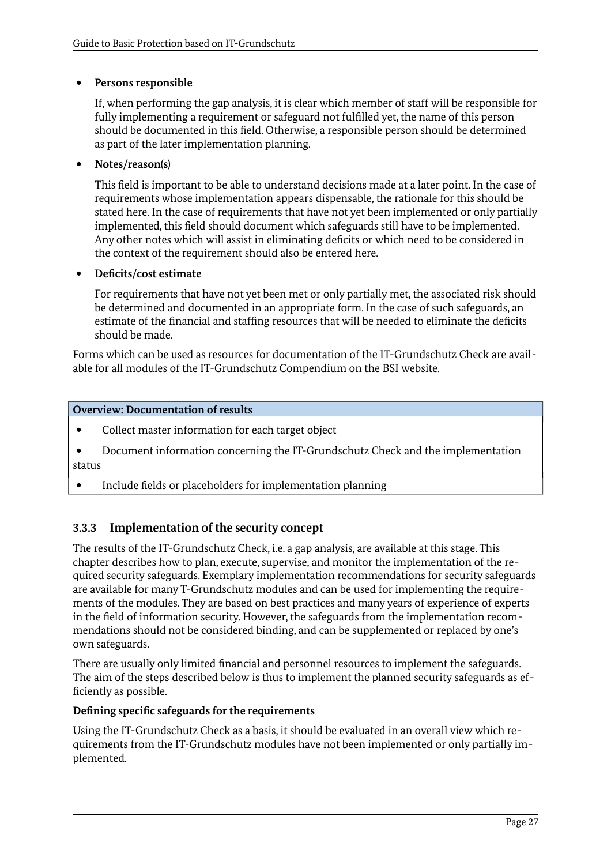#### **Persons responsible**

If, when performing the gap analysis, it is clear which member of staff will be responsible for fully implementing a requirement or safeguard not fulfilled yet, the name of this person should be documented in this field. Otherwise, a responsible person should be determined as part of the later implementation planning.

### **Notes/reason(s)**

This field is important to be able to understand decisions made at a later point. In the case of requirements whose implementation appears dispensable, the rationale for this should be stated here. In the case of requirements that have not yet been implemented or only partially implemented, this field should document which safeguards still have to be implemented. Any other notes which will assist in eliminating deficits or which need to be considered in the context of the requirement should also be entered here.

#### **Deficits/cost estimate**

For requirements that have not yet been met or only partially met, the associated risk should be determined and documented in an appropriate form. In the case of such safeguards, an estimate of the financial and staffing resources that will be needed to eliminate the deficits should be made.

Forms which can be used as resources for documentation of the IT-Grundschutz Check are available for all modules of the IT-Grundschutz Compendium on the BSI website.

#### **Overview: Documentation of results**

- Collect master information for each target object
- Document information concerning the IT-Grundschutz Check and the implementation status
- Include fields or placeholders for implementation planning

# <span id="page-26-0"></span>**3.3.3 Implementation of the security concept**

The results of the IT-Grundschutz Check, i.e. a gap analysis, are available at this stage. This chapter describes how to plan, execute, supervise, and monitor the implementation of the required security safeguards. Exemplary implementation recommendations for security safeguards are available for many T-Grundschutz modules and can be used for implementing the requirements of the modules. They are based on best practices and many years of experience of experts in the field of information security. However, the safeguards from the implementation recommendations should not be considered binding, and can be supplemented or replaced by one's own safeguards.

There are usually only limited financial and personnel resources to implement the safeguards. The aim of the steps described below is thus to implement the planned security safeguards as efficiently as possible.

#### **Defining specific safeguards for the requirements**

Using the IT-Grundschutz Check as a basis, it should be evaluated in an overall view which requirements from the IT-Grundschutz modules have not been implemented or only partially implemented.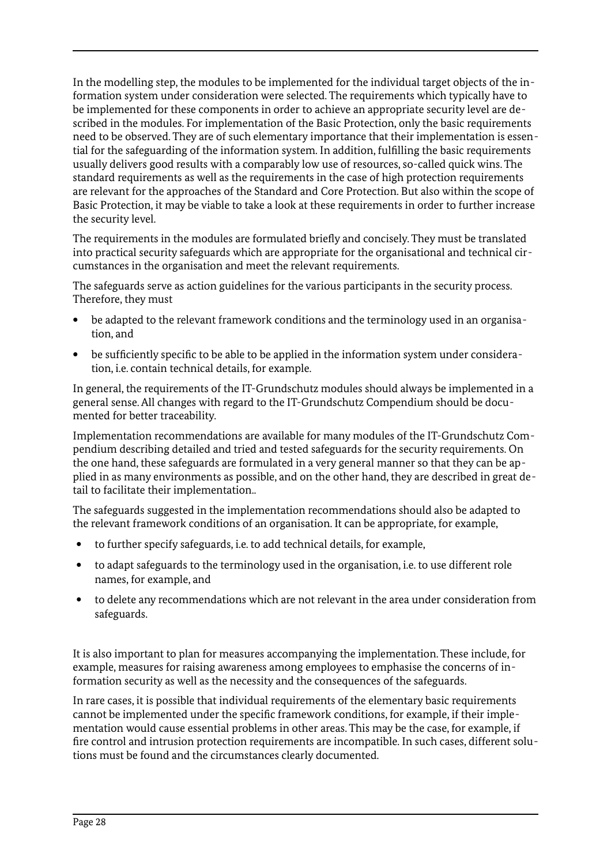In the modelling step, the modules to be implemented for the individual target objects of the information system under consideration were selected. The requirements which typically have to be implemented for these components in order to achieve an appropriate security level are described in the modules. For implementation of the Basic Protection, only the basic requirements need to be observed. They are of such elementary importance that their implementation is essential for the safeguarding of the information system. In addition, fulfilling the basic requirements usually delivers good results with a comparably low use of resources, so-called quick wins. The standard requirements as well as the requirements in the case of high protection requirements are relevant for the approaches of the Standard and Core Protection. But also within the scope of Basic Protection, it may be viable to take a look at these requirements in order to further increase the security level.

The requirements in the modules are formulated briefly and concisely. They must be translated into practical security safeguards which are appropriate for the organisational and technical circumstances in the organisation and meet the relevant requirements.

The safeguards serve as action guidelines for the various participants in the security process. Therefore, they must

- be adapted to the relevant framework conditions and the terminology used in an organisation, and
- be sufficiently specific to be able to be applied in the information system under consideration, i.e. contain technical details, for example.

In general, the requirements of the IT-Grundschutz modules should always be implemented in a general sense. All changes with regard to the IT-Grundschutz Compendium should be documented for better traceability.

Implementation recommendations are available for many modules of the IT-Grundschutz Compendium describing detailed and tried and tested safeguards for the security requirements. On the one hand, these safeguards are formulated in a very general manner so that they can be applied in as many environments as possible, and on the other hand, they are described in great detail to facilitate their implementation..

The safeguards suggested in the implementation recommendations should also be adapted to the relevant framework conditions of an organisation. It can be appropriate, for example,

- to further specify safeguards, i.e. to add technical details, for example,
- to adapt safeguards to the terminology used in the organisation, i.e. to use different role names, for example, and
- to delete any recommendations which are not relevant in the area under consideration from safeguards.

It is also important to plan for measures accompanying the implementation. These include, for example, measures for raising awareness among employees to emphasise the concerns of information security as well as the necessity and the consequences of the safeguards.

In rare cases, it is possible that individual requirements of the elementary basic requirements cannot be implemented under the specific framework conditions, for example, if their implementation would cause essential problems in other areas. This may be the case, for example, if fire control and intrusion protection requirements are incompatible. In such cases, different solutions must be found and the circumstances clearly documented.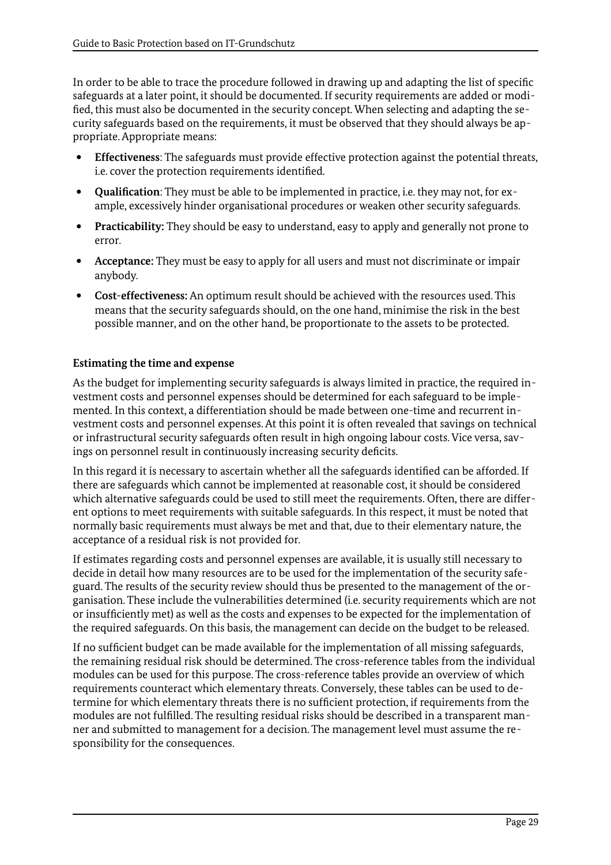In order to be able to trace the procedure followed in drawing up and adapting the list of specific safeguards at a later point, it should be documented. If security requirements are added or modified, this must also be documented in the security concept. When selecting and adapting the security safeguards based on the requirements, it must be observed that they should always be appropriate. Appropriate means:

- **Effectiveness**: The safeguards must provide effective protection against the potential threats, i.e. cover the protection requirements identified.
- **Qualification**: They must be able to be implemented in practice, i.e. they may not, for example, excessively hinder organisational procedures or weaken other security safeguards.
- **Practicability:** They should be easy to understand, easy to apply and generally not prone to error.
- **Acceptance:** They must be easy to apply for all users and must not discriminate or impair anybody.
- **Cost-effectiveness:** An optimum result should be achieved with the resources used. This means that the security safeguards should, on the one hand, minimise the risk in the best possible manner, and on the other hand, be proportionate to the assets to be protected.

#### **Estimating the time and expense**

As the budget for implementing security safeguards is always limited in practice, the required investment costs and personnel expenses should be determined for each safeguard to be implemented. In this context, a differentiation should be made between one-time and recurrent investment costs and personnel expenses. At this point it is often revealed that savings on technical or infrastructural security safeguards often result in high ongoing labour costs. Vice versa, savings on personnel result in continuously increasing security deficits.

In this regard it is necessary to ascertain whether all the safeguards identified can be afforded. If there are safeguards which cannot be implemented at reasonable cost, it should be considered which alternative safeguards could be used to still meet the requirements. Often, there are different options to meet requirements with suitable safeguards. In this respect, it must be noted that normally basic requirements must always be met and that, due to their elementary nature, the acceptance of a residual risk is not provided for.

If estimates regarding costs and personnel expenses are available, it is usually still necessary to decide in detail how many resources are to be used for the implementation of the security safeguard. The results of the security review should thus be presented to the management of the organisation. These include the vulnerabilities determined (i.e. security requirements which are not or insufficiently met) as well as the costs and expenses to be expected for the implementation of the required safeguards. On this basis, the management can decide on the budget to be released.

If no sufficient budget can be made available for the implementation of all missing safeguards, the remaining residual risk should be determined. The cross-reference tables from the individual modules can be used for this purpose. The cross-reference tables provide an overview of which requirements counteract which elementary threats. Conversely, these tables can be used to determine for which elementary threats there is no sufficient protection, if requirements from the modules are not fulfilled. The resulting residual risks should be described in a transparent manner and submitted to management for a decision. The management level must assume the responsibility for the consequences.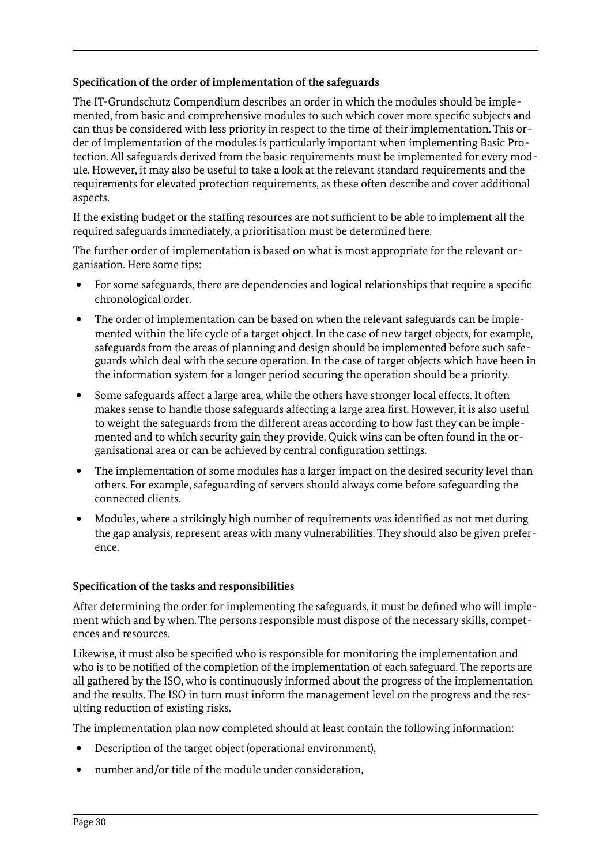#### **Specification of the order of implementation of the safeguards**

The IT-Grundschutz Compendium describes an order in which the modules should be implemented, from basic and comprehensive modules to such which cover more specific subjects and can thus be considered with less priority in respect to the time of their implementation. This order of implementation of the modules is particularly important when implementing Basic Protection. All safeguards derived from the basic requirements must be implemented for every module. However, it may also be useful to take a look at the relevant standard requirements and the requirements for elevated protection requirements, as these often describe and cover additional aspects.

If the existing budget or the staffing resources are not sufficient to be able to implement all the required safeguards immediately, a prioritisation must be determined here.

The further order of implementation is based on what is most appropriate for the relevant organisation. Here some tips:

- For some safeguards, there are dependencies and logical relationships that require a specific chronological order.
- The order of implementation can be based on when the relevant safeguards can be implemented within the life cycle of a target object. In the case of new target objects, for example, safeguards from the areas of planning and design should be implemented before such safeguards which deal with the secure operation. In the case of target objects which have been in the information system for a longer period securing the operation should be a priority.
- Some safeguards affect a large area, while the others have stronger local effects. It often makes sense to handle those safeguards affecting a large area first. However, it is also useful to weight the safeguards from the different areas according to how fast they can be implemented and to which security gain they provide. Quick wins can be often found in the organisational area or can be achieved by central configuration settings.
- The implementation of some modules has a larger impact on the desired security level than others. For example, safeguarding of servers should always come before safeguarding the connected clients.
- Modules, where a strikingly high number of requirements was identified as not met during the gap analysis, represent areas with many vulnerabilities. They should also be given preference.

#### **Specification of the tasks and responsibilities**

After determining the order for implementing the safeguards, it must be defined who will implement which and by when. The persons responsible must dispose of the necessary skills, competences and resources.

Likewise, it must also be specified who is responsible for monitoring the implementation and who is to be notified of the completion of the implementation of each safeguard. The reports are all gathered by the ISO, who is continuously informed about the progress of the implementation and the results. The ISO in turn must inform the management level on the progress and the resulting reduction of existing risks.

The implementation plan now completed should at least contain the following information:

- Description of the target object (operational environment),
- number and/or title of the module under consideration,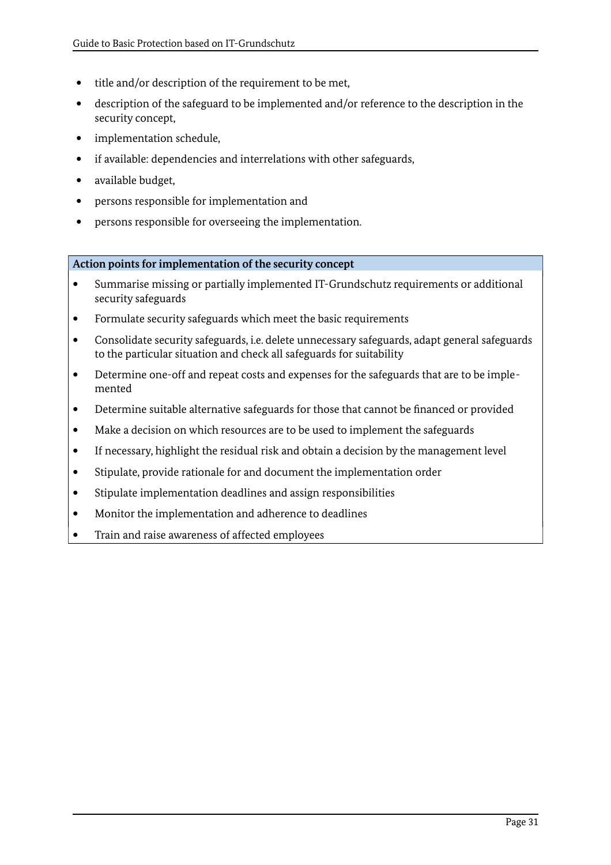- title and/or description of the requirement to be met,
- description of the safeguard to be implemented and/or reference to the description in the security concept,
- implementation schedule,
- if available: dependencies and interrelations with other safeguards,
- available budget,
- persons responsible for implementation and
- persons responsible for overseeing the implementation.

**Action points for implementation of the security concept**

- Summarise missing or partially implemented IT-Grundschutz requirements or additional security safeguards
- Formulate security safeguards which meet the basic requirements
- Consolidate security safeguards, i.e. delete unnecessary safeguards, adapt general safeguards to the particular situation and check all safeguards for suitability
- Determine one-off and repeat costs and expenses for the safeguards that are to be implemented
- Determine suitable alternative safeguards for those that cannot be financed or provided
- Make a decision on which resources are to be used to implement the safeguards
- If necessary, highlight the residual risk and obtain a decision by the management level
- Stipulate, provide rationale for and document the implementation order
- Stipulate implementation deadlines and assign responsibilities
- Monitor the implementation and adherence to deadlines
- Train and raise awareness of affected employees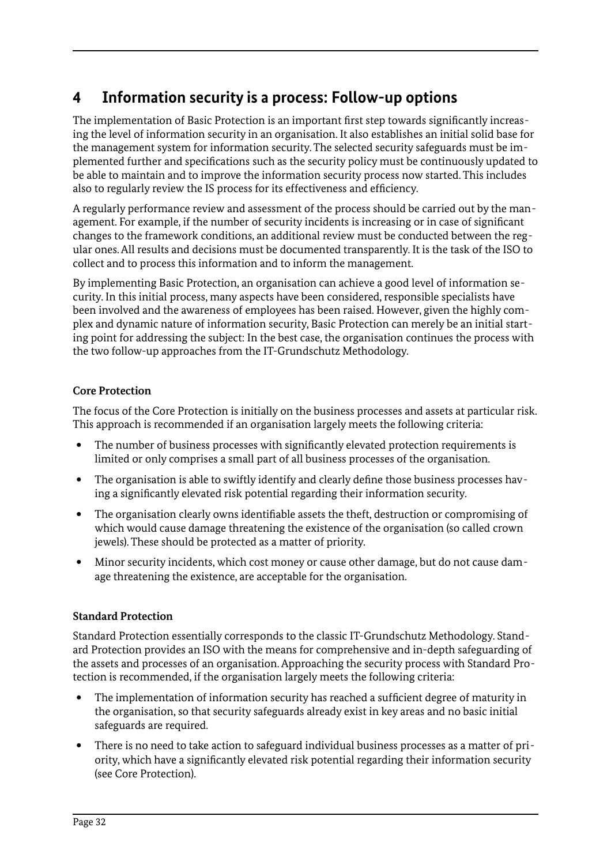# <span id="page-31-0"></span>**4 Information security is a process: Follow-up options**

The implementation of Basic Protection is an important first step towards significantly increasing the level of information security in an organisation. It also establishes an initial solid base for the management system for information security. The selected security safeguards must be implemented further and specifications such as the security policy must be continuously updated to be able to maintain and to improve the information security process now started. This includes also to regularly review the IS process for its effectiveness and efficiency.

A regularly performance review and assessment of the process should be carried out by the management. For example, if the number of security incidents is increasing or in case of significant changes to the framework conditions, an additional review must be conducted between the regular ones. All results and decisions must be documented transparently. It is the task of the ISO to collect and to process this information and to inform the management.

By implementing Basic Protection, an organisation can achieve a good level of information security. In this initial process, many aspects have been considered, responsible specialists have been involved and the awareness of employees has been raised. However, given the highly complex and dynamic nature of information security, Basic Protection can merely be an initial starting point for addressing the subject: In the best case, the organisation continues the process with the two follow-up approaches from the IT-Grundschutz Methodology.

# **Core Protection**

The focus of the Core Protection is initially on the business processes and assets at particular risk. This approach is recommended if an organisation largely meets the following criteria:

- The number of business processes with significantly elevated protection requirements is limited or only comprises a small part of all business processes of the organisation.
- The organisation is able to swiftly identify and clearly define those business processes having a significantly elevated risk potential regarding their information security.
- The organisation clearly owns identifiable assets the theft, destruction or compromising of which would cause damage threatening the existence of the organisation (so called crown jewels). These should be protected as a matter of priority.
- Minor security incidents, which cost money or cause other damage, but do not cause damage threatening the existence, are acceptable for the organisation.

# **Standard Protection**

Standard Protection essentially corresponds to the classic IT-Grundschutz Methodology. Standard Protection provides an ISO with the means for comprehensive and in-depth safeguarding of the assets and processes of an organisation. Approaching the security process with Standard Protection is recommended, if the organisation largely meets the following criteria:

- The implementation of information security has reached a sufficient degree of maturity in the organisation, so that security safeguards already exist in key areas and no basic initial safeguards are required.
- There is no need to take action to safeguard individual business processes as a matter of priority, which have a significantly elevated risk potential regarding their information security (see Core Protection).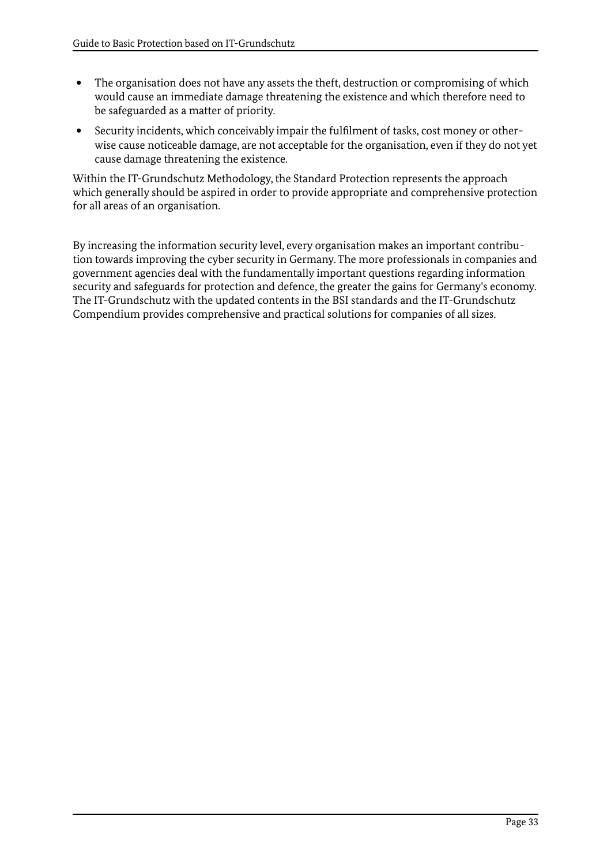- The organisation does not have any assets the theft, destruction or compromising of which would cause an immediate damage threatening the existence and which therefore need to be safeguarded as a matter of priority.
- Security incidents, which conceivably impair the fulfilment of tasks, cost money or otherwise cause noticeable damage, are not acceptable for the organisation, even if they do not yet cause damage threatening the existence.

Within the IT-Grundschutz Methodology, the Standard Protection represents the approach which generally should be aspired in order to provide appropriate and comprehensive protection for all areas of an organisation.

By increasing the information security level, every organisation makes an important contribution towards improving the cyber security in Germany. The more professionals in companies and government agencies deal with the fundamentally important questions regarding information security and safeguards for protection and defence, the greater the gains for Germany's economy. The IT-Grundschutz with the updated contents in the BSI standards and the IT-Grundschutz Compendium provides comprehensive and practical solutions for companies of all sizes.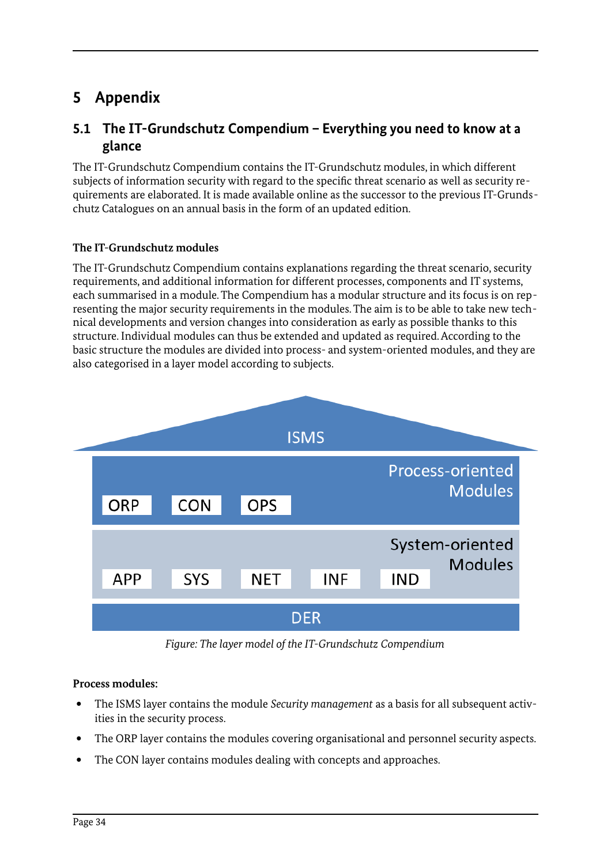# <span id="page-33-1"></span>**5 Appendix**

# <span id="page-33-0"></span>**5.1 The IT-Grundschutz Compendium – Everything you need to know at a glance**

The IT-Grundschutz Compendium contains the IT-Grundschutz modules, in which different subjects of information security with regard to the specific threat scenario as well as security requirements are elaborated. It is made available online as the successor to the previous IT-Grundschutz Catalogues on an annual basis in the form of an updated edition.

# **The IT-Grundschutz modules**

The IT-Grundschutz Compendium contains explanations regarding the threat scenario, security requirements, and additional information for different processes, components and IT systems, each summarised in a module. The Compendium has a modular structure and its focus is on representing the major security requirements in the modules. The aim is to be able to take new technical developments and version changes into consideration as early as possible thanks to this structure. Individual modules can thus be extended and updated as required. According to the basic structure the modules are divided into process- and system-oriented modules, and they are also categorised in a layer model according to subjects.



*Figure: The layer model of the IT-Grundschutz Compendium*

# **Process modules:**

- The ISMS layer contains the module *Security management* as a basis for all subsequent activities in the security process.
- The ORP layer contains the modules covering organisational and personnel security aspects.
- The CON layer contains modules dealing with concepts and approaches.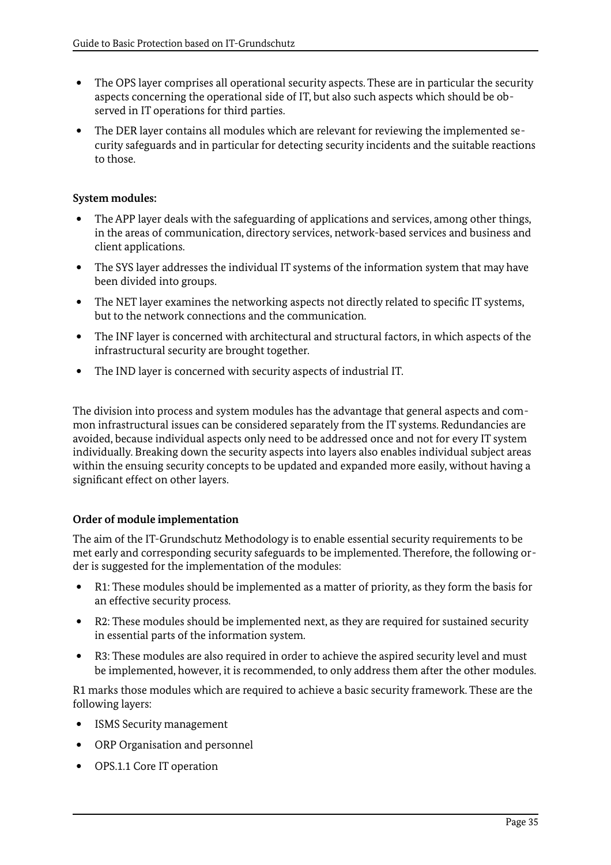- The OPS layer comprises all operational security aspects. These are in particular the security aspects concerning the operational side of IT, but also such aspects which should be observed in IT operations for third parties.
- The DER layer contains all modules which are relevant for reviewing the implemented security safeguards and in particular for detecting security incidents and the suitable reactions to those.

### **System modules:**

- The APP layer deals with the safeguarding of applications and services, among other things, in the areas of communication, directory services, network-based services and business and client applications.
- The SYS layer addresses the individual IT systems of the information system that may have been divided into groups.
- The NET layer examines the networking aspects not directly related to specific IT systems, but to the network connections and the communication.
- The INF layer is concerned with architectural and structural factors, in which aspects of the infrastructural security are brought together.
- The IND layer is concerned with security aspects of industrial IT.

The division into process and system modules has the advantage that general aspects and common infrastructural issues can be considered separately from the IT systems. Redundancies are avoided, because individual aspects only need to be addressed once and not for every IT system individually. Breaking down the security aspects into layers also enables individual subject areas within the ensuing security concepts to be updated and expanded more easily, without having a significant effect on other layers.

# **Order of module implementation**

The aim of the IT-Grundschutz Methodology is to enable essential security requirements to be met early and corresponding security safeguards to be implemented. Therefore, the following order is suggested for the implementation of the modules:

- R1: These modules should be implemented as a matter of priority, as they form the basis for an effective security process.
- R2: These modules should be implemented next, as they are required for sustained security in essential parts of the information system.
- R3: These modules are also required in order to achieve the aspired security level and must be implemented, however, it is recommended, to only address them after the other modules.

R1 marks those modules which are required to achieve a basic security framework. These are the following layers:

- ISMS Security management
- ORP Organisation and personnel
- OPS.1.1 Core IT operation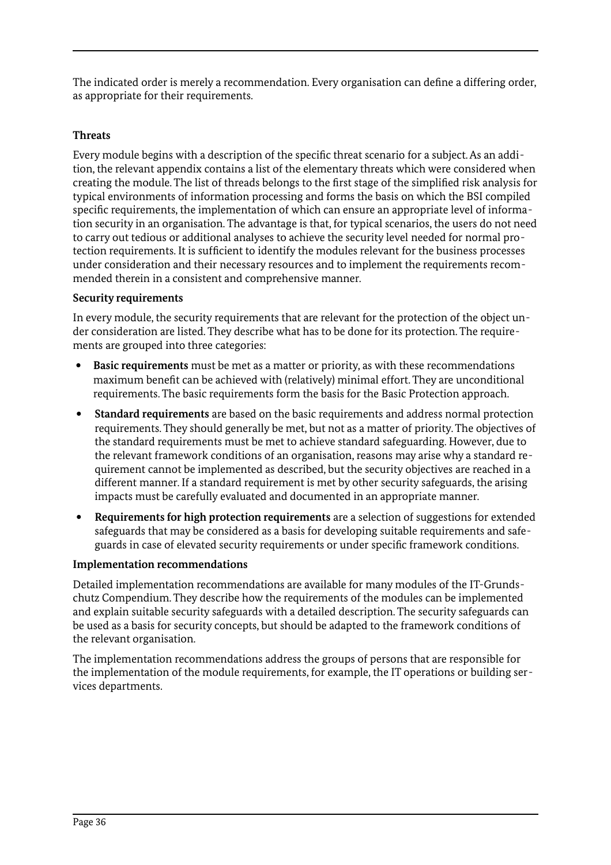The indicated order is merely a recommendation. Every organisation can define a differing order, as appropriate for their requirements.

#### **Threats**

Every module begins with a description of the specific threat scenario for a subject. As an addition, the relevant appendix contains a list of the elementary threats which were considered when creating the module. The list of threads belongs to the first stage of the simplified risk analysis for typical environments of information processing and forms the basis on which the BSI compiled specific requirements, the implementation of which can ensure an appropriate level of information security in an organisation. The advantage is that, for typical scenarios, the users do not need to carry out tedious or additional analyses to achieve the security level needed for normal protection requirements. It is sufficient to identify the modules relevant for the business processes under consideration and their necessary resources and to implement the requirements recommended therein in a consistent and comprehensive manner.

#### **Security requirements**

In every module, the security requirements that are relevant for the protection of the object under consideration are listed. They describe what has to be done for its protection. The requirements are grouped into three categories:

- **Basic requirements** must be met as a matter or priority, as with these recommendations maximum benefit can be achieved with (relatively) minimal effort. They are unconditional requirements. The basic requirements form the basis for the Basic Protection approach.
- **Standard requirements** are based on the basic requirements and address normal protection requirements. They should generally be met, but not as a matter of priority. The objectives of the standard requirements must be met to achieve standard safeguarding. However, due to the relevant framework conditions of an organisation, reasons may arise why a standard requirement cannot be implemented as described, but the security objectives are reached in a different manner. If a standard requirement is met by other security safeguards, the arising impacts must be carefully evaluated and documented in an appropriate manner.
- **Requirements for high protection requirements** are a selection of suggestions for extended safeguards that may be considered as a basis for developing suitable requirements and safeguards in case of elevated security requirements or under specific framework conditions.

# **Implementation recommendations**

Detailed implementation recommendations are available for many modules of the IT-Grundschutz Compendium. They describe how the requirements of the modules can be implemented and explain suitable security safeguards with a detailed description. The security safeguards can be used as a basis for security concepts, but should be adapted to the framework conditions of the relevant organisation.

The implementation recommendations address the groups of persons that are responsible for the implementation of the module requirements, for example, the IT operations or building services departments.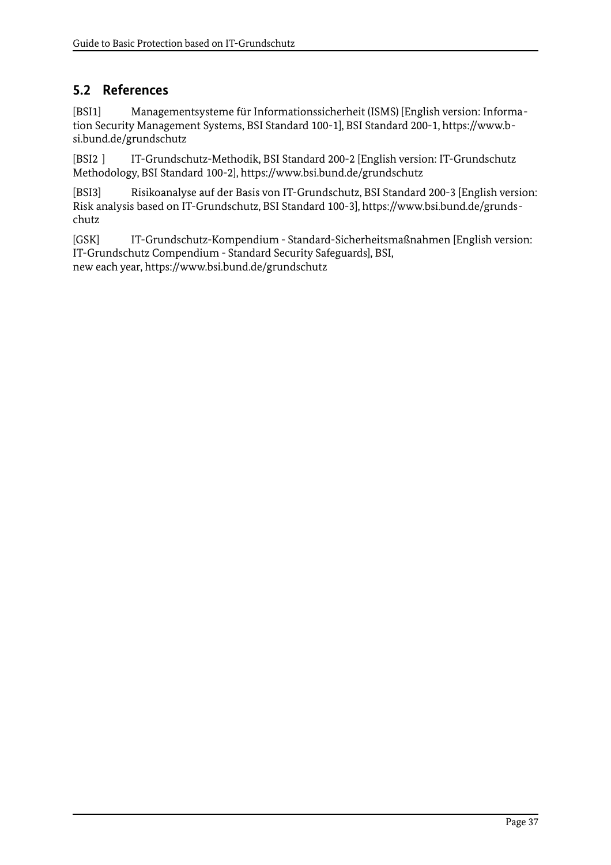# <span id="page-36-0"></span>**5.2 References**

[BSI1] Managementsysteme für Informationssicherheit (ISMS) [English version: Information Security Management Systems, BSI Standard 100-1], BSI Standard 200-1, https://www.bsi.bund.de/grundschutz

[BSI2 ] IT-Grundschutz-Methodik, BSI Standard 200-2 [English version: IT-Grundschutz Methodology, BSI Standard 100-2], https://www.bsi.bund.de/grundschutz

[BSI3] Risikoanalyse auf der Basis von IT-Grundschutz, BSI Standard 200-3 [English version: Risk analysis based on IT-Grundschutz, BSI Standard 100-3], https://www.bsi.bund.de/grundschutz

[GSK] IT-Grundschutz-Kompendium - Standard-Sicherheitsmaßnahmen [English version: IT-Grundschutz Compendium - Standard Security Safeguards], BSI, new each year, https://www.bsi.bund.de/grundschutz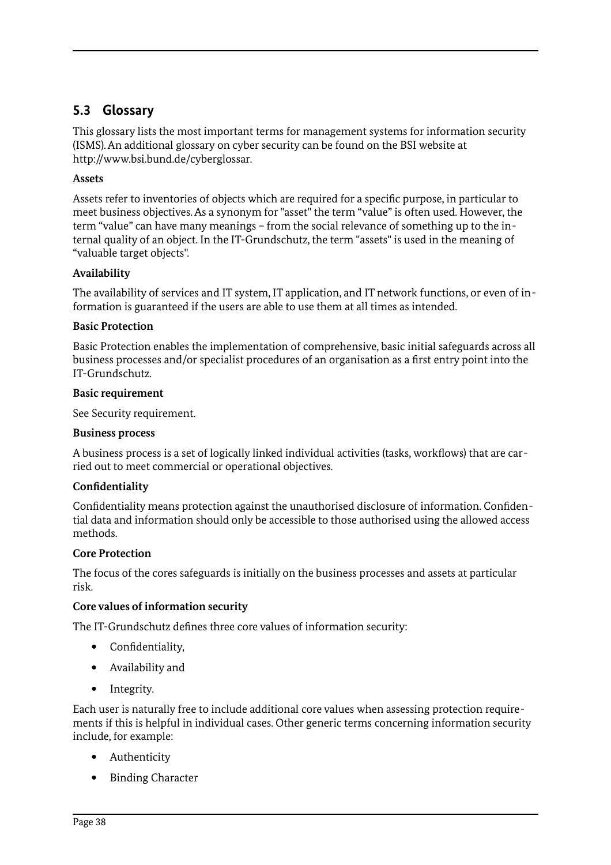# <span id="page-37-0"></span>**5.3 Glossary**

This glossary lists the most important terms for management systems for information security (ISMS). An additional glossary on cyber security can be found on the BSI website at http://www.bsi.bund.de/cyberglossar.

### **Assets**

Assets refer to inventories of objects which are required for a specific purpose, in particular to meet business objectives. As a synonym for "asset" the term "value" is often used. However, the term "value" can have many meanings – from the social relevance of something up to the internal quality of an object. In the IT-Grundschutz, the term "assets" is used in the meaning of "valuable target objects".

#### **Availability**

The availability of services and IT system, IT application, and IT network functions, or even of information is guaranteed if the users are able to use them at all times as intended.

#### **Basic Protection**

Basic Protection enables the implementation of comprehensive, basic initial safeguards across all business processes and/or specialist procedures of an organisation as a first entry point into the IT-Grundschutz.

#### **Basic requirement**

See Security requirement.

#### **Business process**

A business process is a set of logically linked individual activities (tasks, workflows) that are carried out to meet commercial or operational objectives.

#### **Confidentiality**

Confidentiality means protection against the unauthorised disclosure of information. Confidential data and information should only be accessible to those authorised using the allowed access methods.

#### **Core Protection**

The focus of the cores safeguards is initially on the business processes and assets at particular risk.

#### **Core values of information security**

The IT-Grundschutz defines three core values of information security:

- Confidentiality,
- Availability and
- Integrity.

Each user is naturally free to include additional core values when assessing protection requirements if this is helpful in individual cases. Other generic terms concerning information security include, for example:

- Authenticity
- Binding Character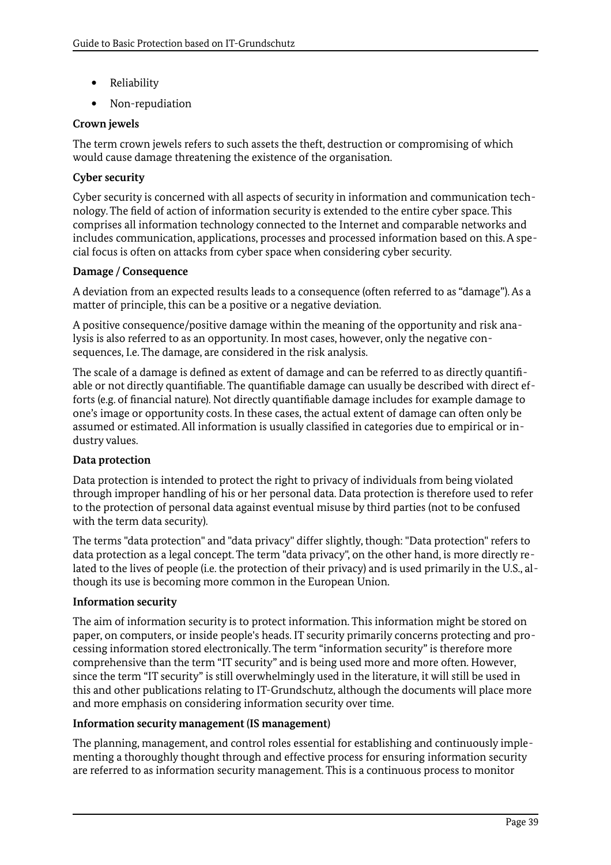- Reliability
- Non-repudiation

#### **Crown jewels**

The term crown jewels refers to such assets the theft, destruction or compromising of which would cause damage threatening the existence of the organisation.

#### **Cyber security**

Cyber security is concerned with all aspects of security in information and communication technology. The field of action of information security is extended to the entire cyber space. This comprises all information technology connected to the Internet and comparable networks and includes communication, applications, processes and processed information based on this. A special focus is often on attacks from cyber space when considering cyber security.

#### **Damage / Consequence**

A deviation from an expected results leads to a consequence (often referred to as "damage"). As a matter of principle, this can be a positive or a negative deviation.

A positive consequence/positive damage within the meaning of the opportunity and risk analysis is also referred to as an opportunity. In most cases, however, only the negative consequences, I.e. The damage, are considered in the risk analysis.

The scale of a damage is defined as extent of damage and can be referred to as directly quantifiable or not directly quantifiable. The quantifiable damage can usually be described with direct efforts (e.g. of financial nature). Not directly quantifiable damage includes for example damage to one's image or opportunity costs. In these cases, the actual extent of damage can often only be assumed or estimated. All information is usually classified in categories due to empirical or industry values.

#### **Data protection**

Data protection is intended to protect the right to privacy of individuals from being violated through improper handling of his or her personal data. Data protection is therefore used to refer to the protection of personal data against eventual misuse by third parties (not to be confused with the term data security).

The terms "data protection" and "data privacy" differ slightly, though: "Data protection" refers to data protection as a legal concept. The term "data privacy", on the other hand, is more directly related to the lives of people (i.e. the protection of their privacy) and is used primarily in the U.S., although its use is becoming more common in the European Union.

#### **Information security**

The aim of information security is to protect information. This information might be stored on paper, on computers, or inside people's heads. IT security primarily concerns protecting and processing information stored electronically. The term "information security" is therefore more comprehensive than the term "IT security" and is being used more and more often. However, since the term "IT security" is still overwhelmingly used in the literature, it will still be used in this and other publications relating to IT-Grundschutz, although the documents will place more and more emphasis on considering information security over time.

#### **Information security management (IS management)**

The planning, management, and control roles essential for establishing and continuously implementing a thoroughly thought through and effective process for ensuring information security are referred to as information security management. This is a continuous process to monitor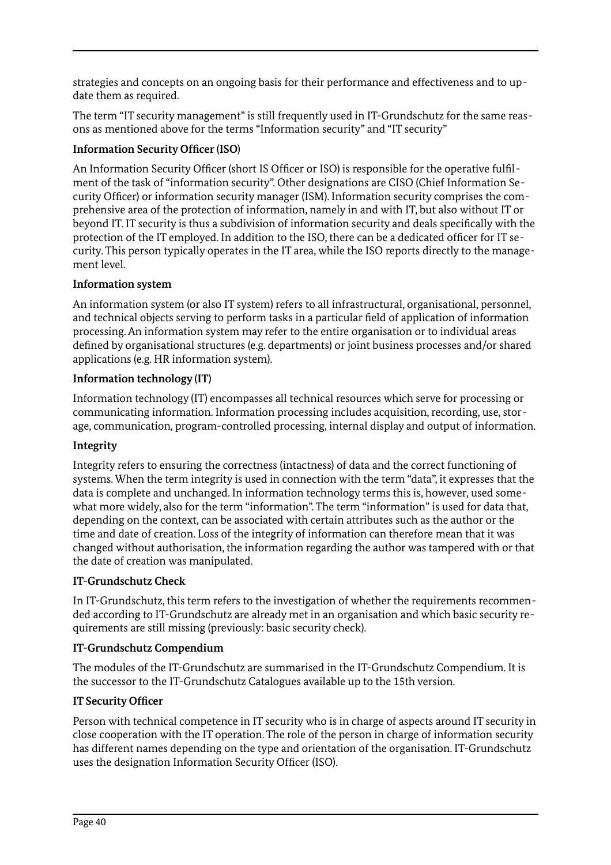strategies and concepts on an ongoing basis for their performance and effectiveness and to update them as required.

The term "IT security management" is still frequently used in IT-Grundschutz for the same reasons as mentioned above for the terms "Information security" and "IT security"

# **Information Security Officer (ISO)**

An Information Security Officer (short IS Officer or ISO) is responsible for the operative fulfilment of the task of "information security". Other designations are CISO (Chief Information Security Officer) or information security manager (ISM). Information security comprises the comprehensive area of the protection of information, namely in and with IT, but also without IT or beyond IT. IT security is thus a subdivision of information security and deals specifically with the protection of the IT employed. In addition to the ISO, there can be a dedicated officer for IT security. This person typically operates in the IT area, while the ISO reports directly to the management level.

# **Information system**

An information system (or also IT system) refers to all infrastructural, organisational, personnel, and technical objects serving to perform tasks in a particular field of application of information processing. An information system may refer to the entire organisation or to individual areas defined by organisational structures (e.g. departments) or joint business processes and/or shared applications (e.g. HR information system).

# **Information technology (IT)**

Information technology (IT) encompasses all technical resources which serve for processing or communicating information. Information processing includes acquisition, recording, use, storage, communication, program-controlled processing, internal display and output of information.

# **Integrity**

Integrity refers to ensuring the correctness (intactness) of data and the correct functioning of systems. When the term integrity is used in connection with the term "data", it expresses that the data is complete and unchanged. In information technology terms this is, however, used somewhat more widely, also for the term "information". The term "information" is used for data that, depending on the context, can be associated with certain attributes such as the author or the time and date of creation. Loss of the integrity of information can therefore mean that it was changed without authorisation, the information regarding the author was tampered with or that the date of creation was manipulated.

# **IT-Grundschutz Check**

In IT-Grundschutz, this term refers to the investigation of whether the requirements recommended according to IT-Grundschutz are already met in an organisation and which basic security requirements are still missing (previously: basic security check).

# **IT-Grundschutz Compendium**

The modules of the IT-Grundschutz are summarised in the IT-Grundschutz Compendium. It is the successor to the IT-Grundschutz Catalogues available up to the 15th version.

# **IT Security Officer**

Person with technical competence in IT security who is in charge of aspects around IT security in close cooperation with the IT operation. The role of the person in charge of information security has different names depending on the type and orientation of the organisation. IT-Grundschutz uses the designation Information Security Officer (ISO).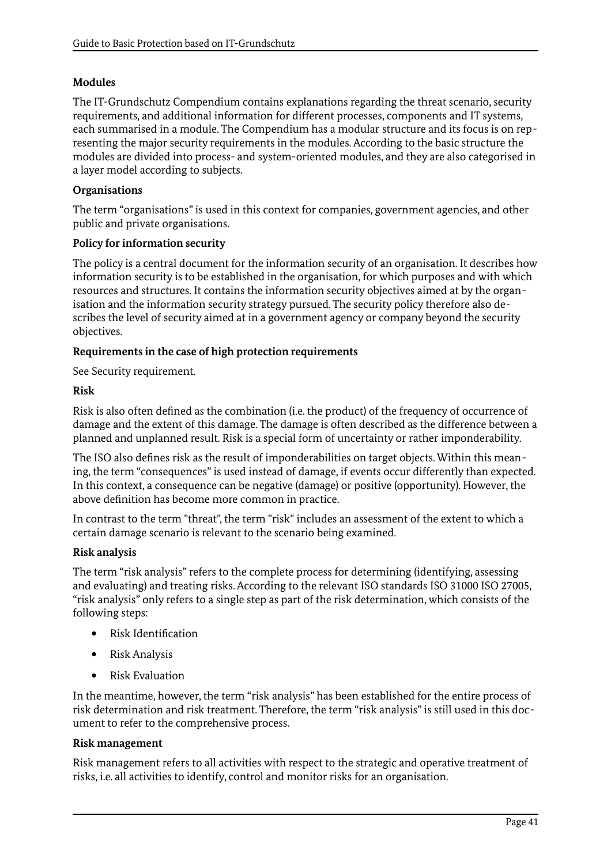### **Modules**

The IT-Grundschutz Compendium contains explanations regarding the threat scenario, security requirements, and additional information for different processes, components and IT systems, each summarised in a module. The Compendium has a modular structure and its focus is on representing the major security requirements in the modules. According to the basic structure the modules are divided into process- and system-oriented modules, and they are also categorised in a layer model according to subjects.

#### **Organisations**

The term "organisations" is used in this context for companies, government agencies, and other public and private organisations.

#### **Policy for information security**

The policy is a central document for the information security of an organisation. It describes how information security is to be established in the organisation, for which purposes and with which resources and structures. It contains the information security objectives aimed at by the organisation and the information security strategy pursued. The security policy therefore also describes the level of security aimed at in a government agency or company beyond the security objectives.

#### **Requirements in the case of high protection requirements**

See Security requirement.

#### **Risk**

Risk is also often defined as the combination (i.e. the product) of the frequency of occurrence of damage and the extent of this damage. The damage is often described as the difference between a planned and unplanned result. Risk is a special form of uncertainty or rather imponderability.

The ISO also defines risk as the result of imponderabilities on target objects. Within this meaning, the term "consequences" is used instead of damage, if events occur differently than expected. In this context, a consequence can be negative (damage) or positive (opportunity). However, the above definition has become more common in practice.

In contrast to the term "threat", the term "risk" includes an assessment of the extent to which a certain damage scenario is relevant to the scenario being examined.

#### **Risk analysis**

The term "risk analysis" refers to the complete process for determining (identifying, assessing and evaluating) and treating risks. According to the relevant ISO standards ISO 31000 ISO 27005, "risk analysis" only refers to a single step as part of the risk determination, which consists of the following steps:

- Risk Identification
- Risk Analysis
- Risk Evaluation

In the meantime, however, the term "risk analysis" has been established for the entire process of risk determination and risk treatment. Therefore, the term "risk analysis" is still used in this document to refer to the comprehensive process.

#### **Risk management**

Risk management refers to all activities with respect to the strategic and operative treatment of risks, i.e. all activities to identify, control and monitor risks for an organisation.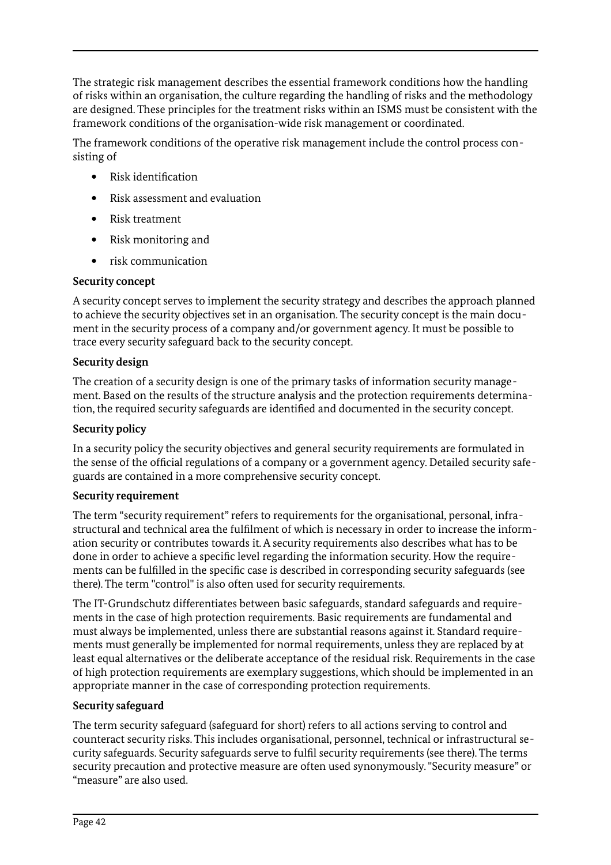The strategic risk management describes the essential framework conditions how the handling of risks within an organisation, the culture regarding the handling of risks and the methodology are designed. These principles for the treatment risks within an ISMS must be consistent with the framework conditions of the organisation-wide risk management or coordinated.

The framework conditions of the operative risk management include the control process consisting of

- Risk identification
- Risk assessment and evaluation
- Risk treatment
- Risk monitoring and
- risk communication

#### **Security concept**

A security concept serves to implement the security strategy and describes the approach planned to achieve the security objectives set in an organisation. The security concept is the main document in the security process of a company and/or government agency. It must be possible to trace every security safeguard back to the security concept.

#### **Security design**

The creation of a security design is one of the primary tasks of information security management. Based on the results of the structure analysis and the protection requirements determination, the required security safeguards are identified and documented in the security concept.

### **Security policy**

In a security policy the security objectives and general security requirements are formulated in the sense of the official regulations of a company or a government agency. Detailed security safeguards are contained in a more comprehensive security concept.

#### **Security requirement**

The term "security requirement" refers to requirements for the organisational, personal, infrastructural and technical area the fulfilment of which is necessary in order to increase the information security or contributes towards it. A security requirements also describes what has to be done in order to achieve a specific level regarding the information security. How the requirements can be fulfilled in the specific case is described in corresponding security safeguards (see there). The term "control" is also often used for security requirements.

The IT-Grundschutz differentiates between basic safeguards, standard safeguards and requirements in the case of high protection requirements. Basic requirements are fundamental and must always be implemented, unless there are substantial reasons against it. Standard requirements must generally be implemented for normal requirements, unless they are replaced by at least equal alternatives or the deliberate acceptance of the residual risk. Requirements in the case of high protection requirements are exemplary suggestions, which should be implemented in an appropriate manner in the case of corresponding protection requirements.

# **Security safeguard**

The term security safeguard (safeguard for short) refers to all actions serving to control and counteract security risks. This includes organisational, personnel, technical or infrastructural security safeguards. Security safeguards serve to fulfil security requirements (see there). The terms security precaution and protective measure are often used synonymously. "Security measure" or "measure" are also used.